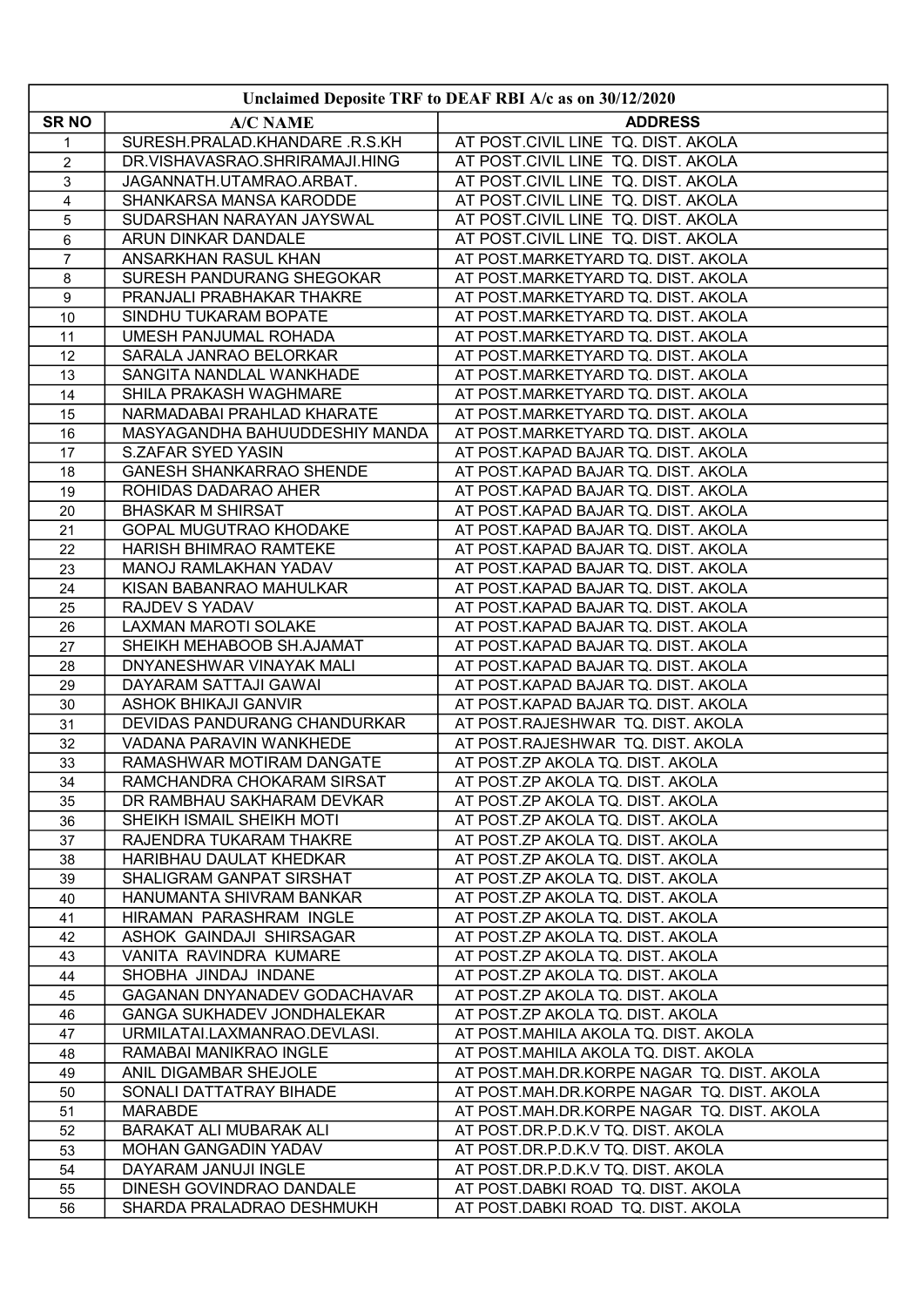| Unclaimed Deposite TRF to DEAF RBI A/c as on 30/12/2020 |                                                           |                                                                            |
|---------------------------------------------------------|-----------------------------------------------------------|----------------------------------------------------------------------------|
| <b>SRNO</b>                                             | <b>A/C NAME</b>                                           | <b>ADDRESS</b>                                                             |
| 1                                                       | SURESH.PRALAD.KHANDARE.R.S.KH                             | AT POST.CIVIL LINE TQ. DIST. AKOLA                                         |
| $\overline{c}$                                          | DR.VISHAVASRAO.SHRIRAMAJI.HING                            | AT POST.CIVIL LINE TQ. DIST. AKOLA                                         |
| $\mathsf 3$                                             | JAGANNATH.UTAMRAO.ARBAT.                                  | AT POST.CIVIL LINE TQ. DIST. AKOLA                                         |
| 4                                                       | SHANKARSA MANSA KARODDE                                   | AT POST.CIVIL LINE TQ. DIST. AKOLA                                         |
| 5                                                       | SUDARSHAN NARAYAN JAYSWAL                                 | AT POST.CIVIL LINE TQ. DIST. AKOLA                                         |
| 6                                                       | ARUN DINKAR DANDALE                                       | AT POST.CIVIL LINE TQ. DIST. AKOLA                                         |
| $\overline{7}$                                          | ANSARKHAN RASUL KHAN                                      | AT POST.MARKETYARD TQ. DIST. AKOLA                                         |
| 8                                                       | SURESH PANDURANG SHEGOKAR                                 | AT POST.MARKETYARD TQ. DIST. AKOLA                                         |
| 9                                                       | PRANJALI PRABHAKAR THAKRE                                 | AT POST.MARKETYARD TQ. DIST. AKOLA                                         |
| 10                                                      | SINDHU TUKARAM BOPATE                                     | AT POST.MARKETYARD TQ. DIST. AKOLA                                         |
| 11                                                      | UMESH PANJUMAL ROHADA                                     | AT POST.MARKETYARD TQ. DIST. AKOLA                                         |
| 12                                                      | SARALA JANRAO BELORKAR                                    | AT POST.MARKETYARD TQ. DIST. AKOLA                                         |
| 13                                                      | SANGITA NANDLAL WANKHADE                                  | AT POST.MARKETYARD TQ. DIST. AKOLA                                         |
| 14                                                      | SHILA PRAKASH WAGHMARE                                    | AT POST.MARKETYARD TQ. DIST. AKOLA                                         |
| 15                                                      | NARMADABAI PRAHLAD KHARATE                                | AT POST.MARKETYARD TQ. DIST. AKOLA                                         |
| 16                                                      | MASYAGANDHA BAHUUDDESHIY MANDA                            | AT POST.MARKETYARD TQ. DIST. AKOLA                                         |
| 17                                                      | <b>S.ZAFAR SYED YASIN</b>                                 | AT POST.KAPAD BAJAR TQ. DIST. AKOLA                                        |
| 18                                                      | <b>GANESH SHANKARRAO SHENDE</b>                           | AT POST.KAPAD BAJAR TQ. DIST. AKOLA                                        |
| 19                                                      | ROHIDAS DADARAO AHER                                      | AT POST.KAPAD BAJAR TQ. DIST. AKOLA                                        |
| 20                                                      | <b>BHASKAR M SHIRSAT</b><br><b>GOPAL MUGUTRAO KHODAKE</b> | AT POST.KAPAD BAJAR TQ. DIST. AKOLA                                        |
| 21                                                      | HARISH BHIMRAO RAMTEKE                                    | AT POST.KAPAD BAJAR TQ. DIST. AKOLA<br>AT POST.KAPAD BAJAR TQ. DIST. AKOLA |
| 22<br>23                                                | MANOJ RAMLAKHAN YADAV                                     | AT POST.KAPAD BAJAR TQ. DIST. AKOLA                                        |
| 24                                                      | KISAN BABANRAO MAHULKAR                                   | AT POST.KAPAD BAJAR TQ. DIST. AKOLA                                        |
| 25                                                      | <b>RAJDEV S YADAV</b>                                     | AT POST.KAPAD BAJAR TQ. DIST. AKOLA                                        |
| 26                                                      | <b>LAXMAN MAROTI SOLAKE</b>                               | AT POST.KAPAD BAJAR TQ. DIST. AKOLA                                        |
| 27                                                      | SHEIKH MEHABOOB SH.AJAMAT                                 | AT POST.KAPAD BAJAR TQ. DIST. AKOLA                                        |
| 28                                                      | DNYANESHWAR VINAYAK MALI                                  | AT POST.KAPAD BAJAR TQ. DIST. AKOLA                                        |
| 29                                                      | DAYARAM SATTAJI GAWAI                                     | AT POST.KAPAD BAJAR TQ. DIST. AKOLA                                        |
| 30                                                      | <b>ASHOK BHIKAJI GANVIR</b>                               | AT POST.KAPAD BAJAR TQ. DIST. AKOLA                                        |
| 31                                                      | DEVIDAS PANDURANG CHANDURKAR                              | AT POST.RAJESHWAR TQ. DIST. AKOLA                                          |
| 32                                                      | VADANA PARAVIN WANKHEDE                                   | AT POST.RAJESHWAR TQ. DIST. AKOLA                                          |
| 33                                                      | RAMASHWAR MOTIRAM DANGATE                                 | AT POST.ZP AKOLA TQ. DIST. AKOLA                                           |
| 34                                                      | RAMCHANDRA CHOKARAM SIRSAT                                | AT POST.ZP AKOLA TQ. DIST. AKOLA                                           |
| 35                                                      | DR RAMBHAU SAKHARAM DEVKAR                                | AT POST.ZP AKOLA TQ. DIST. AKOLA                                           |
| 36                                                      | SHEIKH ISMAIL SHEIKH MOTI                                 | AT POST.ZP AKOLA TQ. DIST. AKOLA                                           |
| 37<br>38                                                | RAJENDRA TUKARAM THAKRE<br>HARIBHAU DAULAT KHEDKAR        | AT POST.ZP AKOLA TQ. DIST. AKOLA<br>AT POST.ZP AKOLA TQ. DIST. AKOLA       |
| 39                                                      | SHALIGRAM GANPAT SIRSHAT                                  | AT POST.ZP AKOLA TQ. DIST. AKOLA                                           |
| 40                                                      | HANUMANTA SHIVRAM BANKAR                                  | AT POST.ZP AKOLA TQ. DIST. AKOLA                                           |
| 41                                                      | HIRAMAN PARASHRAM INGLE                                   | AT POST.ZP AKOLA TQ. DIST. AKOLA                                           |
| 42                                                      | ASHOK GAINDAJI SHIRSAGAR                                  | AT POST.ZP AKOLA TQ. DIST. AKOLA                                           |
| 43                                                      | VANITA RAVINDRA KUMARE                                    | AT POST.ZP AKOLA TQ. DIST. AKOLA                                           |
| 44                                                      | SHOBHA JINDAJ INDANE                                      | AT POST.ZP AKOLA TQ. DIST. AKOLA                                           |
| 45                                                      | GAGANAN DNYANADEV GODACHAVAR                              | AT POST.ZP AKOLA TQ. DIST. AKOLA                                           |
| 46                                                      | GANGA SUKHADEV JONDHALEKAR                                | AT POST.ZP AKOLA TQ. DIST. AKOLA                                           |
| 47                                                      | URMILATAI.LAXMANRAO.DEVLASI.                              | AT POST.MAHILA AKOLA TQ. DIST. AKOLA                                       |
| 48                                                      | RAMABAI MANIKRAO INGLE                                    | AT POST.MAHILA AKOLA TQ. DIST. AKOLA                                       |
| 49                                                      | ANIL DIGAMBAR SHEJOLE                                     | AT POST.MAH.DR.KORPE NAGAR TQ. DIST. AKOLA                                 |
| 50                                                      | SONALI DATTATRAY BIHADE                                   | AT POST.MAH.DR.KORPE NAGAR TQ. DIST. AKOLA                                 |
| 51                                                      | <b>MARABDE</b>                                            | AT POST.MAH.DR.KORPE NAGAR TQ. DIST. AKOLA                                 |
| 52                                                      | BARAKAT ALI MUBARAK ALI                                   | AT POST.DR.P.D.K.V TQ. DIST. AKOLA                                         |
| 53<br>54                                                | MOHAN GANGADIN YADAV<br>DAYARAM JANUJI INGLE              | AT POST.DR.P.D.K.V TQ. DIST. AKOLA<br>AT POST.DR.P.D.K.V TQ. DIST. AKOLA   |
| 55                                                      | DINESH GOVINDRAO DANDALE                                  | AT POST.DABKI ROAD TQ. DIST. AKOLA                                         |
| 56                                                      | SHARDA PRALADRAO DESHMUKH                                 | AT POST.DABKI ROAD TQ. DIST. AKOLA                                         |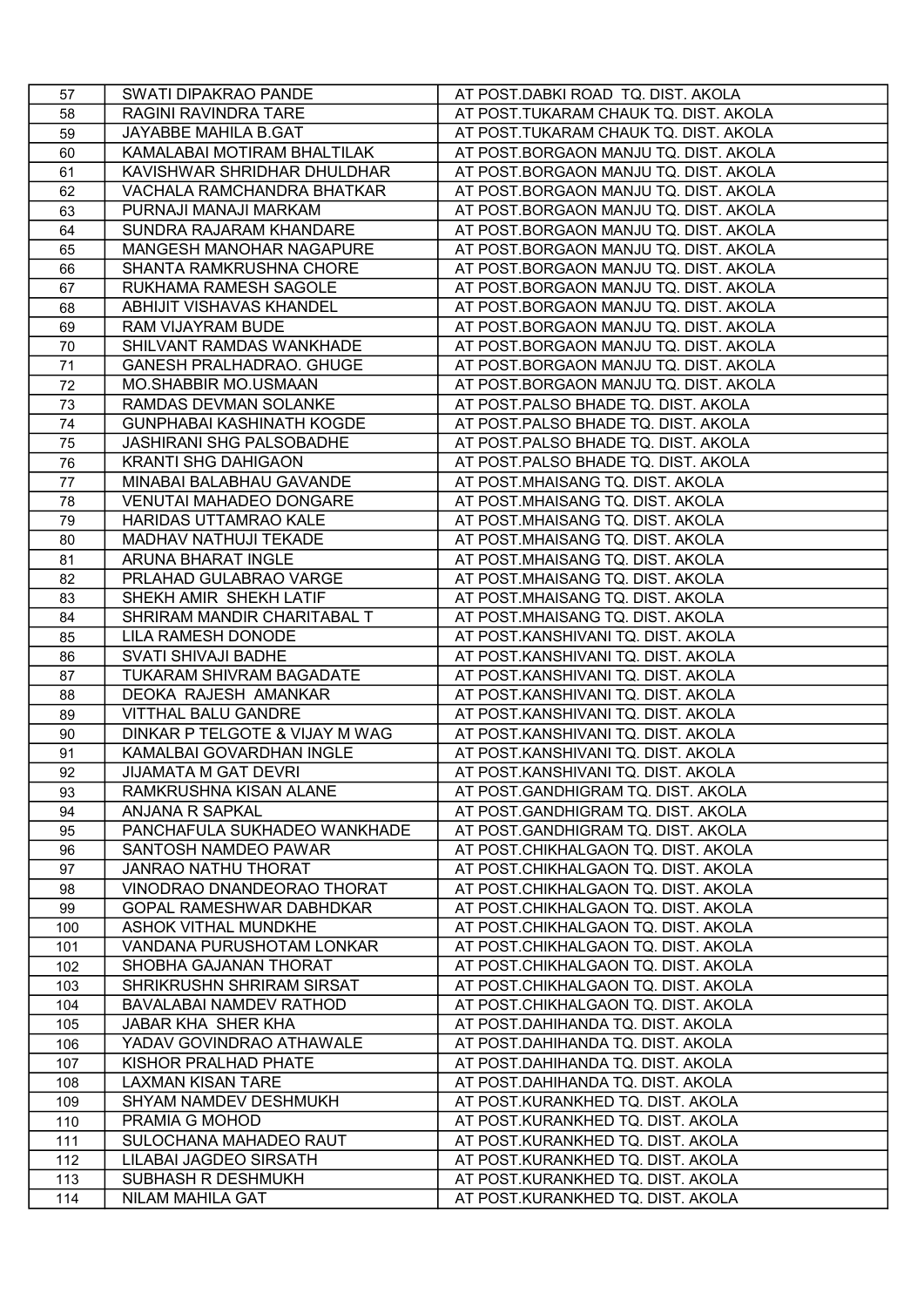| 57  | SWATI DIPAKRAO PANDE             | AT POST.DABKI ROAD TQ. DIST. AKOLA    |
|-----|----------------------------------|---------------------------------------|
| 58  | RAGINI RAVINDRA TARE             | AT POST.TUKARAM CHAUK TQ. DIST. AKOLA |
| 59  | JAYABBE MAHILA B.GAT             | AT POST.TUKARAM CHAUK TQ. DIST. AKOLA |
| 60  | KAMALABAI MOTIRAM BHALTILAK      | AT POST.BORGAON MANJU TQ. DIST. AKOLA |
| 61  | KAVISHWAR SHRIDHAR DHULDHAR      | AT POST.BORGAON MANJU TQ. DIST. AKOLA |
| 62  | VACHALA RAMCHANDRA BHATKAR       | AT POST.BORGAON MANJU TQ. DIST. AKOLA |
| 63  | PURNAJI MANAJI MARKAM            | AT POST.BORGAON MANJU TQ. DIST. AKOLA |
| 64  | SUNDRA RAJARAM KHANDARE          | AT POST.BORGAON MANJU TQ. DIST. AKOLA |
| 65  | MANGESH MANOHAR NAGAPURE         | AT POST.BORGAON MANJU TQ. DIST. AKOLA |
| 66  | SHANTA RAMKRUSHNA CHORE          | AT POST.BORGAON MANJU TQ. DIST. AKOLA |
| 67  | RUKHAMA RAMESH SAGOLE            | AT POST.BORGAON MANJU TQ. DIST. AKOLA |
| 68  | ABHIJIT VISHAVAS KHANDEL         | AT POST.BORGAON MANJU TQ. DIST. AKOLA |
| 69  | RAM VIJAYRAM BUDE                | AT POST.BORGAON MANJU TQ. DIST. AKOLA |
| 70  | SHILVANT RAMDAS WANKHADE         | AT POST.BORGAON MANJU TQ. DIST. AKOLA |
| 71  | <b>GANESH PRALHADRAO. GHUGE</b>  | AT POST.BORGAON MANJU TQ. DIST. AKOLA |
| 72  | <b>MO.SHABBIR MO.USMAAN</b>      | AT POST.BORGAON MANJU TQ. DIST. AKOLA |
| 73  | RAMDAS DEVMAN SOLANKE            | AT POST.PALSO BHADE TQ. DIST. AKOLA   |
| 74  | <b>GUNPHABAI KASHINATH KOGDE</b> | AT POST.PALSO BHADE TQ. DIST. AKOLA   |
| 75  | <b>JASHIRANI SHG PALSOBADHE</b>  | AT POST.PALSO BHADE TQ. DIST. AKOLA   |
| 76  | <b>KRANTI SHG DAHIGAON</b>       | AT POST.PALSO BHADE TQ. DIST. AKOLA   |
| 77  | MINABAI BALABHAU GAVANDE         | AT POST.MHAISANG TQ. DIST. AKOLA      |
| 78  | <b>VENUTAI MAHADEO DONGARE</b>   | AT POST.MHAISANG TQ. DIST. AKOLA      |
| 79  | HARIDAS UTTAMRAO KALE            | AT POST.MHAISANG TQ. DIST. AKOLA      |
| 80  | MADHAV NATHUJI TEKADE            | AT POST.MHAISANG TQ. DIST. AKOLA      |
| 81  | ARUNA BHARAT INGLE               | AT POST.MHAISANG TQ. DIST. AKOLA      |
| 82  | PRLAHAD GULABRAO VARGE           | AT POST.MHAISANG TQ. DIST. AKOLA      |
| 83  | SHEKH AMIR SHEKH LATIF           | AT POST.MHAISANG TQ. DIST. AKOLA      |
| 84  | SHRIRAM MANDIR CHARITABAL T      | AT POST.MHAISANG TQ. DIST. AKOLA      |
| 85  | LILA RAMESH DONODE               | AT POST.KANSHIVANI TQ. DIST. AKOLA    |
| 86  | SVATI SHIVAJI BADHE              | AT POST.KANSHIVANI TQ. DIST. AKOLA    |
| 87  | TUKARAM SHIVRAM BAGADATE         | AT POST.KANSHIVANI TQ. DIST. AKOLA    |
| 88  | DEOKA RAJESH AMANKAR             | AT POST.KANSHIVANI TQ. DIST. AKOLA    |
| 89  | <b>VITTHAL BALU GANDRE</b>       | AT POST.KANSHIVANI TQ. DIST. AKOLA    |
| 90  | DINKAR P TELGOTE & VIJAY M WAG   | AT POST.KANSHIVANI TQ. DIST. AKOLA    |
| 91  | KAMALBAI GOVARDHAN INGLE         | AT POST.KANSHIVANI TQ. DIST. AKOLA    |
| 92  | <b>JIJAMATA M GAT DEVRI</b>      | AT POST.KANSHIVANI TQ. DIST. AKOLA    |
| 93  | RAMKRUSHNA KISAN ALANE           | AT POST.GANDHIGRAM TQ. DIST. AKOLA    |
| 94  | ANJANA R SAPKAL                  | AT POST.GANDHIGRAM TQ. DIST. AKOLA    |
| 95  | PANCHAFULA SUKHADEO WANKHADE     | AT POST.GANDHIGRAM TQ. DIST. AKOLA    |
| 96  | SANTOSH NAMDEO PAWAR             | AT POST.CHIKHALGAON TQ. DIST. AKOLA   |
| 97  | <b>JANRAO NATHU THORAT</b>       | AT POST.CHIKHALGAON TQ. DIST. AKOLA   |
| 98  | VINODRAO DNANDEORAO THORAT       | AT POST.CHIKHALGAON TQ. DIST. AKOLA   |
| 99  | <b>GOPAL RAMESHWAR DABHDKAR</b>  | AT POST.CHIKHALGAON TQ. DIST. AKOLA   |
| 100 | ASHOK VITHAL MUNDKHE             | AT POST.CHIKHALGAON TQ. DIST. AKOLA   |
| 101 | VANDANA PURUSHOTAM LONKAR        | AT POST.CHIKHALGAON TQ. DIST. AKOLA   |
| 102 | SHOBHA GAJANAN THORAT            | AT POST.CHIKHALGAON TQ. DIST. AKOLA   |
| 103 | SHRIKRUSHN SHRIRAM SIRSAT        | AT POST.CHIKHALGAON TQ. DIST. AKOLA   |
| 104 | BAVALABAI NAMDEV RATHOD          | AT POST.CHIKHALGAON TQ. DIST. AKOLA   |
| 105 | JABAR KHA SHER KHA               | AT POST.DAHIHANDA TQ. DIST. AKOLA     |
| 106 | YADAV GOVINDRAO ATHAWALE         | AT POST.DAHIHANDA TQ. DIST. AKOLA     |
| 107 | KISHOR PRALHAD PHATE             | AT POST.DAHIHANDA TQ. DIST. AKOLA     |
| 108 | <b>LAXMAN KISAN TARE</b>         | AT POST.DAHIHANDA TQ. DIST. AKOLA     |
| 109 | SHYAM NAMDEV DESHMUKH            | AT POST.KURANKHED TQ. DIST. AKOLA     |
| 110 | PRAMIA G MOHOD                   | AT POST.KURANKHED TQ. DIST. AKOLA     |
| 111 | SULOCHANA MAHADEO RAUT           | AT POST.KURANKHED TQ. DIST. AKOLA     |
| 112 | LILABAI JAGDEO SIRSATH           | AT POST.KURANKHED TQ. DIST. AKOLA     |
| 113 | SUBHASH R DESHMUKH               | AT POST.KURANKHED TQ. DIST. AKOLA     |
| 114 | NILAM MAHILA GAT                 | AT POST.KURANKHED TQ. DIST. AKOLA     |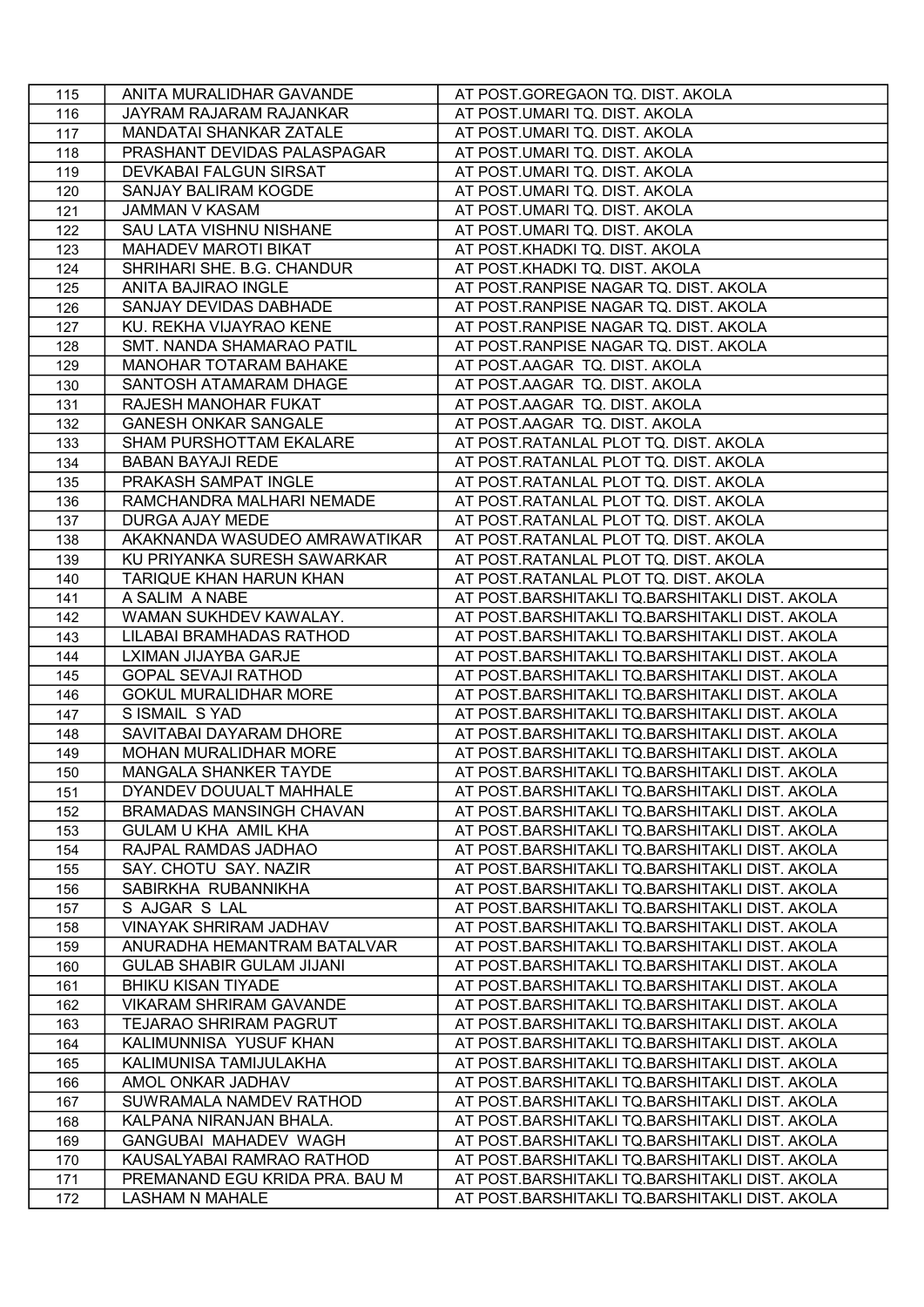| 115        | ANITA MURALIDHAR GAVANDE         | AT POST.GOREGAON TQ. DIST. AKOLA               |
|------------|----------------------------------|------------------------------------------------|
| 116        | JAYRAM RAJARAM RAJANKAR          | AT POST.UMARI TQ. DIST. AKOLA                  |
| 117        | MANDATAI SHANKAR ZATALE          | AT POST.UMARI TQ. DIST. AKOLA                  |
| 118        | PRASHANT DEVIDAS PALASPAGAR      | AT POST.UMARI TQ. DIST. AKOLA                  |
| 119        | DEVKABAI FALGUN SIRSAT           | AT POST.UMARI TQ. DIST. AKOLA                  |
| 120        | SANJAY BALIRAM KOGDE             | AT POST.UMARI TQ. DIST. AKOLA                  |
| 121        | <b>JAMMAN V KASAM</b>            | AT POST.UMARI TQ. DIST. AKOLA                  |
| 122        | SAU LATA VISHNU NISHANE          | AT POST.UMARI TQ. DIST. AKOLA                  |
| 123        | <b>MAHADEV MAROTI BIKAT</b>      | AT POST.KHADKI TQ. DIST. AKOLA                 |
| 124        | SHRIHARI SHE. B.G. CHANDUR       | AT POST.KHADKI TQ. DIST. AKOLA                 |
| 125        | ANITA BAJIRAO INGLE              | AT POST.RANPISE NAGAR TQ. DIST. AKOLA          |
| 126        | SANJAY DEVIDAS DABHADE           | AT POST.RANPISE NAGAR TQ. DIST. AKOLA          |
| 127        | KU. REKHA VIJAYRAO KENE          | AT POST.RANPISE NAGAR TQ. DIST. AKOLA          |
| 128        | SMT. NANDA SHAMARAO PATIL        | AT POST.RANPISE NAGAR TQ. DIST. AKOLA          |
| 129        | <b>MANOHAR TOTARAM BAHAKE</b>    | AT POST.AAGAR TQ. DIST. AKOLA                  |
| 130        | SANTOSH ATAMARAM DHAGE           | AT POST.AAGAR TQ. DIST. AKOLA                  |
| 131        | RAJESH MANOHAR FUKAT             | AT POST.AAGAR TQ. DIST. AKOLA                  |
| 132        | <b>GANESH ONKAR SANGALE</b>      | AT POST.AAGAR TQ. DIST. AKOLA                  |
| 133        | SHAM PURSHOTTAM EKALARE          | AT POST.RATANLAL PLOT TQ. DIST. AKOLA          |
| 134        | <b>BABAN BAYAJI REDE</b>         | AT POST.RATANLAL PLOT TQ. DIST. AKOLA          |
| 135        | PRAKASH SAMPAT INGLE             | AT POST.RATANLAL PLOT TQ. DIST. AKOLA          |
| 136        | RAMCHANDRA MALHARI NEMADE        | AT POST.RATANLAL PLOT TQ. DIST. AKOLA          |
| 137        | DURGA AJAY MEDE                  | AT POST.RATANLAL PLOT TQ. DIST. AKOLA          |
| 138        | AKAKNANDA WASUDEO AMRAWATIKAR    | AT POST.RATANLAL PLOT TQ. DIST. AKOLA          |
| 139        | KU PRIYANKA SURESH SAWARKAR      | AT POST.RATANLAL PLOT TQ. DIST. AKOLA          |
| 140        | TARIQUE KHAN HARUN KHAN          | AT POST.RATANLAL PLOT TQ. DIST. AKOLA          |
| 141        | A SALIM A NABE                   | AT POST.BARSHITAKLI TQ.BARSHITAKLI DIST. AKOLA |
| 142        | WAMAN SUKHDEV KAWALAY.           | AT POST.BARSHITAKLI TQ.BARSHITAKLI DIST. AKOLA |
| 143        | LILABAI BRAMHADAS RATHOD         | AT POST.BARSHITAKLI TQ.BARSHITAKLI DIST. AKOLA |
| 144        | LXIMAN JIJAYBA GARJE             | AT POST.BARSHITAKLI TQ.BARSHITAKLI DIST. AKOLA |
| 145        | <b>GOPAL SEVAJI RATHOD</b>       | AT POST.BARSHITAKLI TQ.BARSHITAKLI DIST. AKOLA |
|            | <b>GOKUL MURALIDHAR MORE</b>     | AT POST.BARSHITAKLI TQ.BARSHITAKLI DIST. AKOLA |
| 146<br>147 | S ISMAIL S YAD                   | AT POST.BARSHITAKLI TQ.BARSHITAKLI DIST. AKOLA |
| 148        | SAVITABAI DAYARAM DHORE          | AT POST.BARSHITAKLI TQ.BARSHITAKLI DIST. AKOLA |
|            | MOHAN MURALIDHAR MORE            | AT POST.BARSHITAKLI TQ.BARSHITAKLI DIST. AKOLA |
| 149<br>150 | MANGALA SHANKER TAYDE            | AT POST.BARSHITAKLI TQ.BARSHITAKLI DIST. AKOLA |
| 151        | DYANDEV DOUUALT MAHHALE          | AT POST.BARSHITAKLI TQ.BARSHITAKLI DIST. AKOLA |
| 152        | <b>BRAMADAS MANSINGH CHAVAN</b>  | AT POST.BARSHITAKLI TQ.BARSHITAKLI DIST. AKOLA |
| 153        | <b>GULAM U KHA AMIL KHA</b>      | AT POST.BARSHITAKLI TQ.BARSHITAKLI DIST. AKOLA |
| 154        | RAJPAL RAMDAS JADHAO             | AT POST.BARSHITAKLI TQ.BARSHITAKLI DIST. AKOLA |
| 155        | SAY. CHOTU SAY. NAZIR            | AT POST.BARSHITAKLI TQ.BARSHITAKLI DIST. AKOLA |
| 156        | SABIRKHA RUBANNIKHA              | AT POST.BARSHITAKLI TQ.BARSHITAKLI DIST. AKOLA |
| 157        | S AJGAR S LAL                    | AT POST.BARSHITAKLI TQ.BARSHITAKLI DIST. AKOLA |
| 158        | VINAYAK SHRIRAM JADHAV           | AT POST.BARSHITAKLI TQ.BARSHITAKLI DIST. AKOLA |
| 159        | ANURADHA HEMANTRAM BATALVAR      | AT POST.BARSHITAKLI TQ.BARSHITAKLI DIST. AKOLA |
| 160        | <b>GULAB SHABIR GULAM JIJANI</b> | AT POST.BARSHITAKLI TQ.BARSHITAKLI DIST. AKOLA |
| 161        | <b>BHIKU KISAN TIYADE</b>        | AT POST.BARSHITAKLI TQ.BARSHITAKLI DIST. AKOLA |
| 162        | <b>VIKARAM SHRIRAM GAVANDE</b>   | AT POST.BARSHITAKLI TQ.BARSHITAKLI DIST. AKOLA |
|            | <b>TEJARAO SHRIRAM PAGRUT</b>    | AT POST.BARSHITAKLI TQ.BARSHITAKLI DIST. AKOLA |
| 163<br>164 | KALIMUNNISA YUSUF KHAN           | AT POST.BARSHITAKLI TQ.BARSHITAKLI DIST. AKOLA |
| 165        | KALIMUNISA TAMIJULAKHA           | AT POST.BARSHITAKLI TQ.BARSHITAKLI DIST. AKOLA |
| 166        | AMOL ONKAR JADHAV                | AT POST.BARSHITAKLI TQ.BARSHITAKLI DIST. AKOLA |
| 167        | SUWRAMALA NAMDEV RATHOD          |                                                |
|            |                                  | AT POST.BARSHITAKLI TQ.BARSHITAKLI DIST. AKOLA |
| 168        | KALPANA NIRANJAN BHALA.          | AT POST.BARSHITAKLI TQ.BARSHITAKLI DIST. AKOLA |
| 169        | GANGUBAI MAHADEV WAGH            | AT POST.BARSHITAKLI TQ.BARSHITAKLI DIST. AKOLA |
| 170        | KAUSALYABAI RAMRAO RATHOD        | AT POST.BARSHITAKLI TQ.BARSHITAKLI DIST. AKOLA |
| 171        | PREMANAND EGU KRIDA PRA. BAU M   | AT POST.BARSHITAKLI TQ.BARSHITAKLI DIST. AKOLA |
| 172        | <b>LASHAM N MAHALE</b>           | AT POST.BARSHITAKLI TQ.BARSHITAKLI DIST. AKOLA |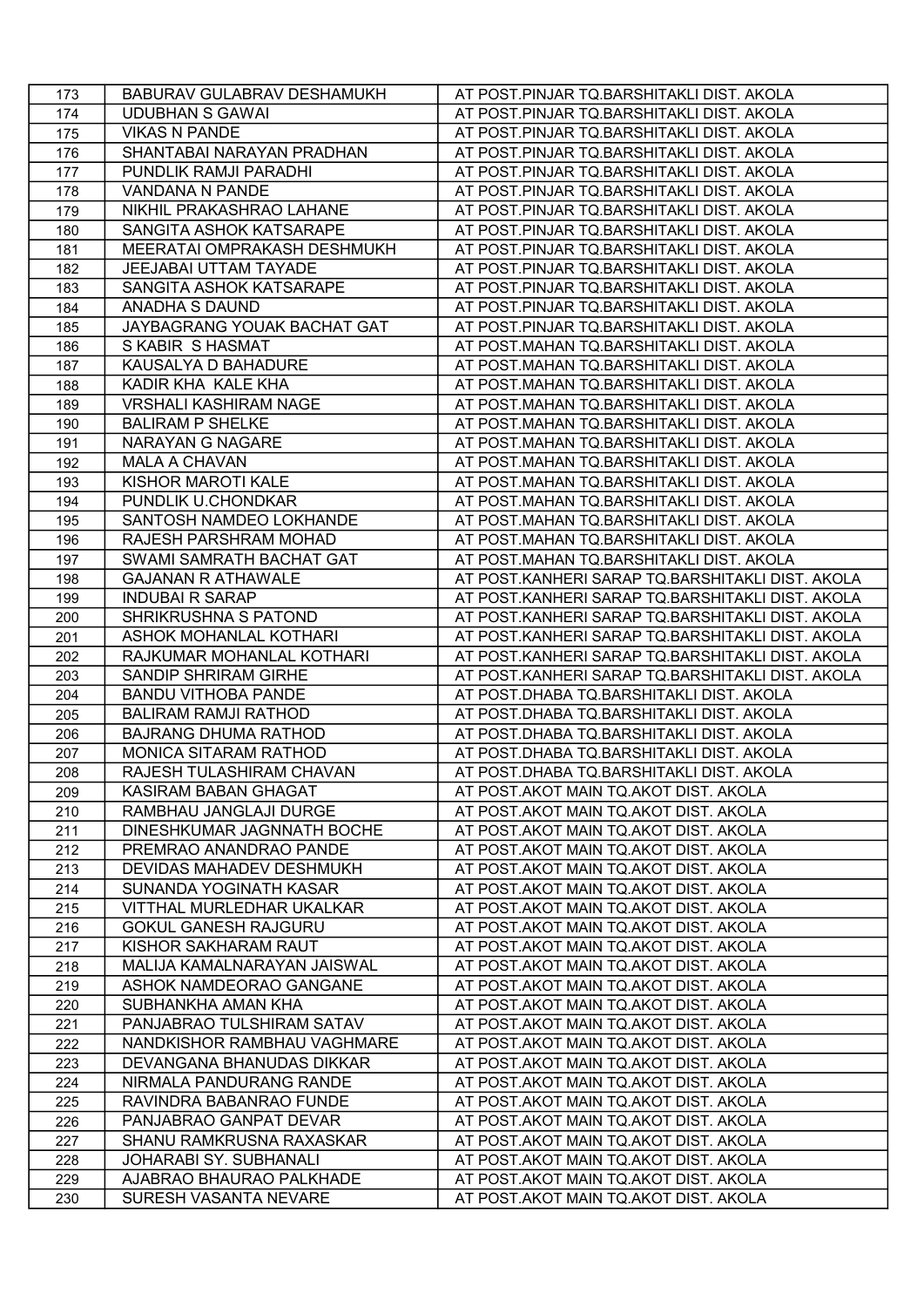| 173 | BABURAV GULABRAV DESHAMUKH   | AT POST.PINJAR TQ.BARSHITAKLI DIST. AKOLA        |
|-----|------------------------------|--------------------------------------------------|
| 174 | <b>UDUBHAN S GAWAI</b>       | AT POST.PINJAR TQ.BARSHITAKLI DIST. AKOLA        |
| 175 | <b>VIKAS N PANDE</b>         | AT POST.PINJAR TQ.BARSHITAKLI DIST. AKOLA        |
| 176 | SHANTABAI NARAYAN PRADHAN    | AT POST.PINJAR TQ.BARSHITAKLI DIST. AKOLA        |
| 177 | PUNDLIK RAMJI PARADHI        | AT POST.PINJAR TQ.BARSHITAKLI DIST. AKOLA        |
| 178 | VANDANA N PANDE              | AT POST.PINJAR TQ.BARSHITAKLI DIST. AKOLA        |
| 179 | NIKHIL PRAKASHRAO LAHANE     | AT POST.PINJAR TQ.BARSHITAKLI DIST. AKOLA        |
| 180 | SANGITA ASHOK KATSARAPE      | AT POST.PINJAR TQ.BARSHITAKLI DIST. AKOLA        |
| 181 | MEERATAI OMPRAKASH DESHMUKH  | AT POST.PINJAR TQ.BARSHITAKLI DIST. AKOLA        |
| 182 | JEEJABAI UTTAM TAYADE        | AT POST.PINJAR TQ.BARSHITAKLI DIST. AKOLA        |
| 183 | SANGITA ASHOK KATSARAPE      | AT POST.PINJAR TQ.BARSHITAKLI DIST. AKOLA        |
| 184 | ANADHA S DAUND               | AT POST.PINJAR TQ.BARSHITAKLI DIST. AKOLA        |
| 185 | JAYBAGRANG YOUAK BACHAT GAT  | AT POST.PINJAR TQ.BARSHITAKLI DIST. AKOLA        |
| 186 | S KABIR S HASMAT             | AT POST.MAHAN TQ.BARSHITAKLI DIST. AKOLA         |
| 187 | KAUSALYA D BAHADURE          | AT POST.MAHAN TQ.BARSHITAKLI DIST. AKOLA         |
| 188 | KADIR KHA KALE KHA           | AT POST.MAHAN TQ.BARSHITAKLI DIST. AKOLA         |
| 189 | <b>VRSHALI KASHIRAM NAGE</b> | AT POST.MAHAN TQ.BARSHITAKLI DIST. AKOLA         |
| 190 | <b>BALIRAM P SHELKE</b>      | AT POST.MAHAN TQ.BARSHITAKLI DIST. AKOLA         |
| 191 | <b>NARAYAN G NAGARE</b>      | AT POST.MAHAN TQ.BARSHITAKLI DIST. AKOLA         |
| 192 | <b>MALA A CHAVAN</b>         | AT POST.MAHAN TQ.BARSHITAKLI DIST. AKOLA         |
| 193 | KISHOR MAROTI KALE           | AT POST.MAHAN TQ.BARSHITAKLI DIST. AKOLA         |
| 194 | PUNDLIK U.CHONDKAR           | AT POST.MAHAN TQ.BARSHITAKLI DIST. AKOLA         |
| 195 | SANTOSH NAMDEO LOKHANDE      | AT POST.MAHAN TQ.BARSHITAKLI DIST. AKOLA         |
| 196 | RAJESH PARSHRAM MOHAD        | AT POST.MAHAN TQ.BARSHITAKLI DIST. AKOLA         |
| 197 | SWAMI SAMRATH BACHAT GAT     | AT POST.MAHAN TQ.BARSHITAKLI DIST. AKOLA         |
| 198 | <b>GAJANAN R ATHAWALE</b>    | AT POST.KANHERI SARAP TQ.BARSHITAKLI DIST. AKOLA |
| 199 | <b>INDUBAI R SARAP</b>       | AT POST.KANHERI SARAP TQ.BARSHITAKLI DIST. AKOLA |
| 200 | SHRIKRUSHNA S PATOND         | AT POST.KANHERI SARAP TQ.BARSHITAKLI DIST. AKOLA |
| 201 | ASHOK MOHANLAL KOTHARI       | AT POST.KANHERI SARAP TQ.BARSHITAKLI DIST. AKOLA |
| 202 | RAJKUMAR MOHANLAL KOTHARI    | AT POST.KANHERI SARAP TQ.BARSHITAKLI DIST. AKOLA |
| 203 | SANDIP SHRIRAM GIRHE         | AT POST.KANHERI SARAP TQ.BARSHITAKLI DIST. AKOLA |
| 204 | <b>BANDU VITHOBA PANDE</b>   | AT POST.DHABA TQ.BARSHITAKLI DIST. AKOLA         |
| 205 | <b>BALIRAM RAMJI RATHOD</b>  | AT POST.DHABA TQ.BARSHITAKLI DIST. AKOLA         |
| 206 | <b>BAJRANG DHUMA RATHOD</b>  | AT POST.DHABA TQ.BARSHITAKLI DIST. AKOLA         |
| 207 | MONICA SITARAM RATHOD        | AT POST.DHABA TQ.BARSHITAKLI DIST. AKOLA         |
| 208 | RAJESH TULASHIRAM CHAVAN     | AT POST.DHABA TQ.BARSHITAKLI DIST. AKOLA         |
| 209 | KASIRAM BABAN GHAGAT         | AT POST.AKOT MAIN TQ.AKOT DIST. AKOLA            |
| 210 | RAMBHAU JANGLAJI DURGE       | AT POST.AKOT MAIN TQ.AKOT DIST. AKOLA            |
| 211 | DINESHKUMAR JAGNNATH BOCHE   | AT POST.AKOT MAIN TQ.AKOT DIST. AKOLA            |
| 212 | PREMRAO ANANDRAO PANDE       | AT POST.AKOT MAIN TQ.AKOT DIST. AKOLA            |
| 213 | DEVIDAS MAHADEV DESHMUKH     | AT POST.AKOT MAIN TQ.AKOT DIST. AKOLA            |
| 214 | SUNANDA YOGINATH KASAR       | AT POST.AKOT MAIN TQ.AKOT DIST. AKOLA            |
| 215 | VITTHAL MURLEDHAR UKALKAR    | AT POST.AKOT MAIN TQ.AKOT DIST. AKOLA            |
| 216 | <b>GOKUL GANESH RAJGURU</b>  | AT POST.AKOT MAIN TQ.AKOT DIST. AKOLA            |
| 217 | KISHOR SAKHARAM RAUT         | AT POST.AKOT MAIN TQ.AKOT DIST. AKOLA            |
| 218 | MALIJA KAMALNARAYAN JAISWAL  | AT POST.AKOT MAIN TQ.AKOT DIST. AKOLA            |
| 219 | ASHOK NAMDEORAO GANGANE      | AT POST.AKOT MAIN TQ.AKOT DIST. AKOLA            |
| 220 | SUBHANKHA AMAN KHA           | AT POST.AKOT MAIN TQ.AKOT DIST. AKOLA            |
| 221 | PANJABRAO TULSHIRAM SATAV    | AT POST.AKOT MAIN TQ.AKOT DIST. AKOLA            |
| 222 | NANDKISHOR RAMBHAU VAGHMARE  | AT POST.AKOT MAIN TQ.AKOT DIST. AKOLA            |
| 223 | DEVANGANA BHANUDAS DIKKAR    | AT POST.AKOT MAIN TQ.AKOT DIST. AKOLA            |
| 224 | NIRMALA PANDURANG RANDE      | AT POST.AKOT MAIN TQ.AKOT DIST. AKOLA            |
| 225 | RAVINDRA BABANRAO FUNDE      | AT POST.AKOT MAIN TQ.AKOT DIST. AKOLA            |
| 226 | PANJABRAO GANPAT DEVAR       | AT POST.AKOT MAIN TQ.AKOT DIST. AKOLA            |
| 227 | SHANU RAMKRUSNA RAXASKAR     | AT POST.AKOT MAIN TQ.AKOT DIST. AKOLA            |
| 228 | JOHARABI SY. SUBHANALI       | AT POST.AKOT MAIN TQ.AKOT DIST. AKOLA            |
| 229 | AJABRAO BHAURAO PALKHADE     | AT POST.AKOT MAIN TQ.AKOT DIST. AKOLA            |
| 230 | SURESH VASANTA NEVARE        | AT POST.AKOT MAIN TQ.AKOT DIST. AKOLA            |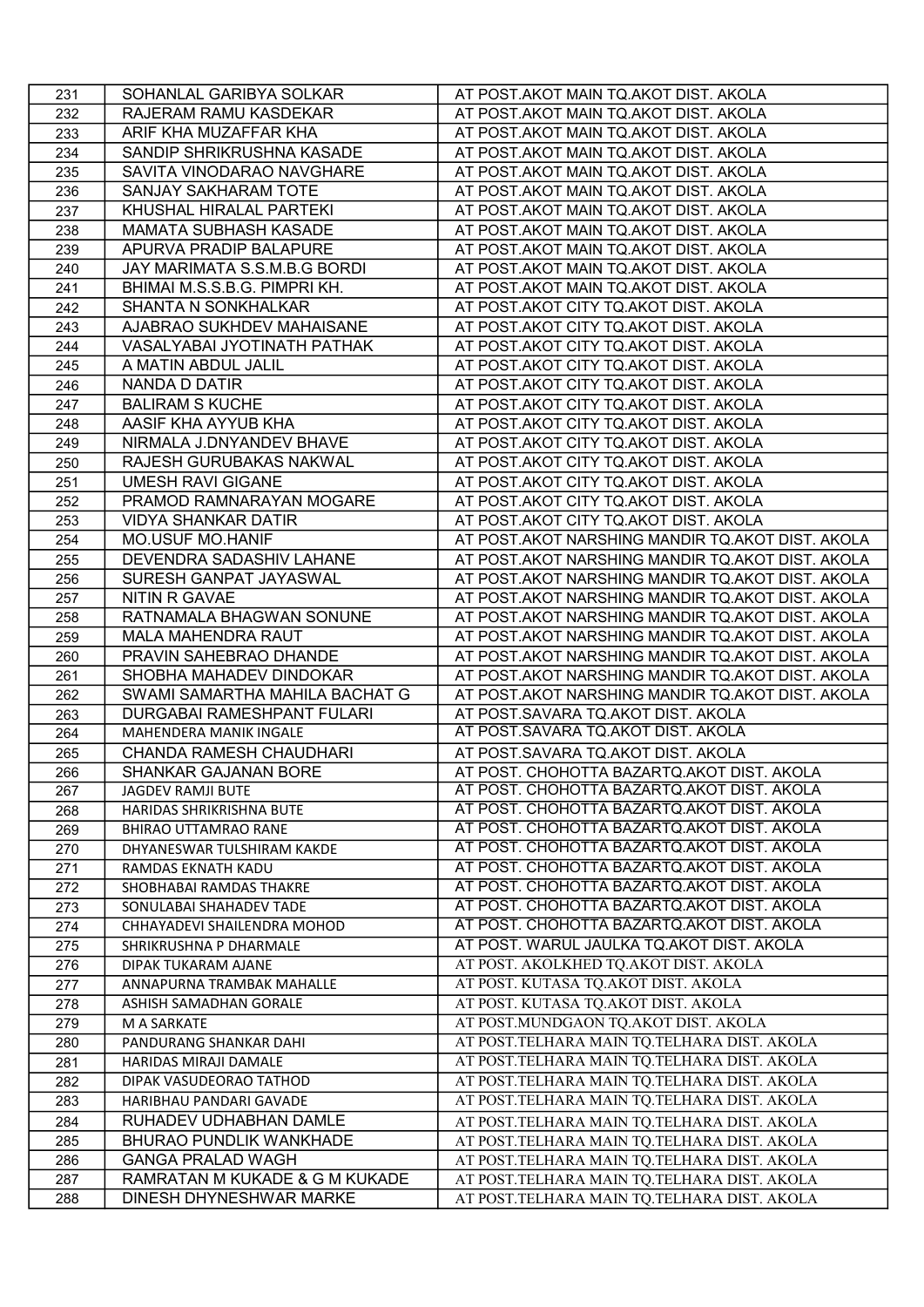| 231        | SOHANLAL GARIBYA SOLKAR                                             | AT POST.AKOT MAIN TQ.AKOT DIST. AKOLA                                                      |
|------------|---------------------------------------------------------------------|--------------------------------------------------------------------------------------------|
| 232        | RAJERAM RAMU KASDEKAR                                               | AT POST.AKOT MAIN TQ.AKOT DIST. AKOLA                                                      |
| 233        | ARIF KHA MUZAFFAR KHA                                               | AT POST.AKOT MAIN TQ.AKOT DIST. AKOLA                                                      |
| 234        | SANDIP SHRIKRUSHNA KASADE                                           | AT POST.AKOT MAIN TQ.AKOT DIST. AKOLA                                                      |
| 235        | SAVITA VINODARAO NAVGHARE                                           | AT POST.AKOT MAIN TQ.AKOT DIST. AKOLA                                                      |
| 236        | <b>SANJAY SAKHARAM TOTE</b>                                         | AT POST.AKOT MAIN TQ.AKOT DIST. AKOLA                                                      |
| 237        | KHUSHAL HIRALAL PARTEKI                                             | AT POST.AKOT MAIN TQ.AKOT DIST. AKOLA                                                      |
| 238        | MAMATA SUBHASH KASADE                                               | AT POST.AKOT MAIN TQ.AKOT DIST. AKOLA                                                      |
| 239        | APURVA PRADIP BALAPURE                                              | AT POST.AKOT MAIN TQ.AKOT DIST. AKOLA                                                      |
| 240        | JAY MARIMATA S.S.M.B.G BORDI                                        | AT POST.AKOT MAIN TQ.AKOT DIST. AKOLA                                                      |
| 241        | BHIMAI M.S.S.B.G. PIMPRI KH.                                        | AT POST.AKOT MAIN TQ.AKOT DIST. AKOLA                                                      |
| 242        | SHANTA N SONKHALKAR                                                 | AT POST.AKOT CITY TQ.AKOT DIST. AKOLA                                                      |
| 243        | AJABRAO SUKHDEV MAHAISANE                                           | AT POST.AKOT CITY TQ.AKOT DIST. AKOLA                                                      |
| 244        | VASALYABAI JYOTINATH PATHAK                                         | AT POST.AKOT CITY TQ.AKOT DIST. AKOLA                                                      |
| 245        | A MATIN ABDUL JALIL                                                 | AT POST.AKOT CITY TQ.AKOT DIST. AKOLA                                                      |
| 246        | NANDA D DATIR                                                       | AT POST.AKOT CITY TQ.AKOT DIST. AKOLA                                                      |
| 247        | <b>BALIRAM S KUCHE</b>                                              | AT POST.AKOT CITY TQ.AKOT DIST. AKOLA                                                      |
| 248        | AASIF KHA AYYUB KHA                                                 | AT POST.AKOT CITY TQ.AKOT DIST. AKOLA                                                      |
| 249        | NIRMALA J.DNYANDEV BHAVE                                            | AT POST.AKOT CITY TQ.AKOT DIST. AKOLA                                                      |
| 250        | RAJESH GURUBAKAS NAKWAL                                             | AT POST.AKOT CITY TQ.AKOT DIST. AKOLA                                                      |
| 251        | <b>UMESH RAVI GIGANE</b>                                            | AT POST.AKOT CITY TQ.AKOT DIST. AKOLA                                                      |
| 252        | PRAMOD RAMNARAYAN MOGARE                                            | AT POST.AKOT CITY TQ.AKOT DIST. AKOLA                                                      |
| 253        | <b>VIDYA SHANKAR DATIR</b>                                          | AT POST.AKOT CITY TQ.AKOT DIST. AKOLA                                                      |
| 254        | <b>MO.USUF MO.HANIF</b>                                             | AT POST.AKOT NARSHING MANDIR TQ.AKOT DIST. AKOLA                                           |
| 255        | DEVENDRA SADASHIV LAHANE                                            | AT POST.AKOT NARSHING MANDIR TQ.AKOT DIST. AKOLA                                           |
| 256        | SURESH GANPAT JAYASWAL                                              | AT POST.AKOT NARSHING MANDIR TQ.AKOT DIST. AKOLA                                           |
| 257        | NITIN R GAVAE                                                       | AT POST.AKOT NARSHING MANDIR TQ.AKOT DIST. AKOLA                                           |
| 258        | RATNAMALA BHAGWAN SONUNE                                            |                                                                                            |
|            |                                                                     | AT POST.AKOT NARSHING MANDIR TQ.AKOT DIST. AKOLA                                           |
| 259        | <b>MALA MAHENDRA RAUT</b>                                           | AT POST.AKOT NARSHING MANDIR TQ.AKOT DIST. AKOLA                                           |
| 260        | PRAVIN SAHEBRAO DHANDE                                              | AT POST.AKOT NARSHING MANDIR TQ.AKOT DIST. AKOLA                                           |
| 261        | SHOBHA MAHADEV DINDOKAR                                             | AT POST.AKOT NARSHING MANDIR TQ.AKOT DIST. AKOLA                                           |
| 262        | SWAMI SAMARTHA MAHILA BACHAT G<br><b>DURGABAI RAMESHPANT FULARI</b> | AT POST.AKOT NARSHING MANDIR TQ.AKOT DIST. AKOLA                                           |
| 263        | MAHENDERA MANIK INGALE                                              | AT POST.SAVARA TQ.AKOT DIST. AKOLA<br>AT POST.SAVARA TQ.AKOT DIST. AKOLA                   |
| 264        | CHANDA RAMESH CHAUDHARI                                             |                                                                                            |
| 265        |                                                                     | AT POST.SAVARA TQ.AKOT DIST. AKOLA                                                         |
| 266<br>267 | <b>SHANKAR GAJANAN BORE</b><br><b>JAGDEV RAMJI BUTE</b>             | AT POST. CHOHOTTA BAZARTQ.AKOT DIST. AKOLA<br>AT POST. CHOHOTTA BAZARTQ.AKOT DIST. AKOLA   |
|            |                                                                     | AT POST. CHOHOTTA BAZARTQ.AKOT DIST. AKOLA                                                 |
| 268        | HARIDAS SHRIKRISHNA BUTE<br><b>BHIRAO UTTAMRAO RANE</b>             |                                                                                            |
| 269<br>270 |                                                                     |                                                                                            |
|            |                                                                     | AT POST. CHOHOTTA BAZARTQ.AKOT DIST. AKOLA                                                 |
|            | DHYANESWAR TULSHIRAM KAKDE                                          | AT POST. CHOHOTTA BAZARTQ.AKOT DIST. AKOLA                                                 |
| 271        | RAMDAS EKNATH KADU                                                  | AT POST. CHOHOTTA BAZARTQ.AKOT DIST. AKOLA                                                 |
| 272        | SHOBHABAI RAMDAS THAKRE                                             | AT POST. CHOHOTTA BAZARTQ.AKOT DIST. AKOLA                                                 |
| 273        | SONULABAI SHAHADEV TADE                                             | AT POST. CHOHOTTA BAZARTQ.AKOT DIST. AKOLA                                                 |
| 274        | CHHAYADEVI SHAILENDRA MOHOD                                         | AT POST. CHOHOTTA BAZARTQ.AKOT DIST. AKOLA                                                 |
| 275        | SHRIKRUSHNA P DHARMALE                                              | AT POST. WARUL JAULKA TQ.AKOT DIST. AKOLA                                                  |
| 276        | DIPAK TUKARAM AJANE                                                 | AT POST. AKOLKHED TQ.AKOT DIST. AKOLA                                                      |
| 277        | ANNAPURNA TRAMBAK MAHALLE                                           | AT POST. KUTASA TQ.AKOT DIST. AKOLA                                                        |
| 278        | ASHISH SAMADHAN GORALE                                              | AT POST. KUTASA TQ.AKOT DIST. AKOLA                                                        |
| 279        | M A SARKATE                                                         | AT POST.MUNDGAON TQ.AKOT DIST. AKOLA                                                       |
| 280        | PANDURANG SHANKAR DAHI                                              | AT POST.TELHARA MAIN TQ.TELHARA DIST. AKOLA                                                |
| 281        | HARIDAS MIRAJI DAMALE                                               | AT POST.TELHARA MAIN TQ.TELHARA DIST. AKOLA                                                |
| 282        | DIPAK VASUDEORAO TATHOD                                             | AT POST.TELHARA MAIN TQ.TELHARA DIST. AKOLA                                                |
| 283        | HARIBHAU PANDARI GAVADE                                             | AT POST.TELHARA MAIN TQ.TELHARA DIST. AKOLA                                                |
| 284        | RUHADEV UDHABHAN DAMLE                                              | AT POST.TELHARA MAIN TQ.TELHARA DIST. AKOLA                                                |
| 285        | <b>BHURAO PUNDLIK WANKHADE</b>                                      | AT POST.TELHARA MAIN TQ.TELHARA DIST. AKOLA                                                |
| 286        | <b>GANGA PRALAD WAGH</b>                                            | AT POST.TELHARA MAIN TQ.TELHARA DIST. AKOLA                                                |
| 287<br>288 | RAMRATAN M KUKADE & G M KUKADE<br>DINESH DHYNESHWAR MARKE           | AT POST.TELHARA MAIN TQ.TELHARA DIST. AKOLA<br>AT POST.TELHARA MAIN TQ.TELHARA DIST. AKOLA |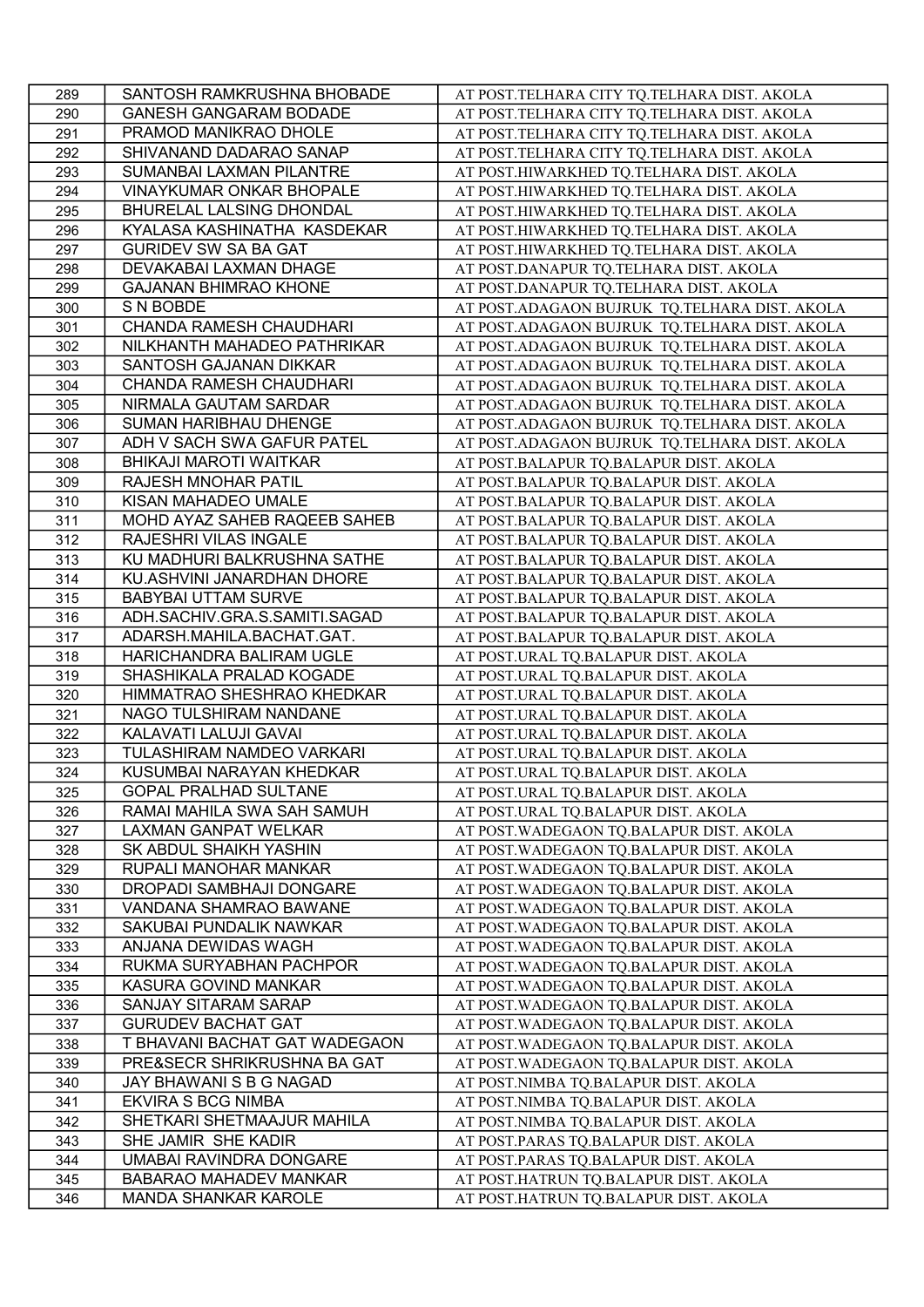| 289 | SANTOSH RAMKRUSHNA BHOBADE    | AT POST.TELHARA CITY TQ.TELHARA DIST. AKOLA   |
|-----|-------------------------------|-----------------------------------------------|
| 290 | <b>GANESH GANGARAM BODADE</b> | AT POST.TELHARA CITY TQ.TELHARA DIST. AKOLA   |
| 291 | PRAMOD MANIKRAO DHOLE         | AT POST.TELHARA CITY TQ.TELHARA DIST. AKOLA   |
| 292 | SHIVANAND DADARAO SANAP       | AT POST.TELHARA CITY TQ.TELHARA DIST. AKOLA   |
| 293 | SUMANBAI LAXMAN PILANTRE      | AT POST.HIWARKHED TQ.TELHARA DIST. AKOLA      |
| 294 | VINAYKUMAR ONKAR BHOPALE      | AT POST.HIWARKHED TQ.TELHARA DIST. AKOLA      |
| 295 | BHURELAL LALSING DHONDAL      | AT POST.HIWARKHED TQ.TELHARA DIST. AKOLA      |
| 296 | KYALASA KASHINATHA KASDEKAR   | AT POST.HIWARKHED TQ.TELHARA DIST. AKOLA      |
| 297 | <b>GURIDEV SW SA BA GAT</b>   | AT POST.HIWARKHED TQ.TELHARA DIST. AKOLA      |
| 298 | DEVAKABAI LAXMAN DHAGE        | AT POST.DANAPUR TQ.TELHARA DIST. AKOLA        |
| 299 | <b>GAJANAN BHIMRAO KHONE</b>  | AT POST.DANAPUR TQ.TELHARA DIST. AKOLA        |
| 300 | S N BOBDE                     | AT POST.ADAGAON BUJRUK TQ.TELHARA DIST. AKOLA |
| 301 | CHANDA RAMESH CHAUDHARI       | AT POST.ADAGAON BUJRUK TQ.TELHARA DIST. AKOLA |
| 302 | NILKHANTH MAHADEO PATHRIKAR   | AT POST.ADAGAON BUJRUK TQ.TELHARA DIST. AKOLA |
| 303 | SANTOSH GAJANAN DIKKAR        | AT POST.ADAGAON BUJRUK TQ.TELHARA DIST. AKOLA |
| 304 | CHANDA RAMESH CHAUDHARI       | AT POST.ADAGAON BUJRUK TQ.TELHARA DIST. AKOLA |
| 305 | NIRMALA GAUTAM SARDAR         | AT POST.ADAGAON BUJRUK TQ.TELHARA DIST. AKOLA |
|     | SUMAN HARIBHAU DHENGE         |                                               |
| 306 |                               | AT POST.ADAGAON BUJRUK TQ.TELHARA DIST. AKOLA |
| 307 | ADH V SACH SWA GAFUR PATEL    | AT POST.ADAGAON BUJRUK TQ.TELHARA DIST. AKOLA |
| 308 | <b>BHIKAJI MAROTI WAITKAR</b> | AT POST.BALAPUR TQ.BALAPUR DIST. AKOLA        |
| 309 | <b>RAJESH MNOHAR PATIL</b>    | AT POST.BALAPUR TQ.BALAPUR DIST. AKOLA        |
| 310 | KISAN MAHADEO UMALE           | AT POST.BALAPUR TQ.BALAPUR DIST. AKOLA        |
| 311 | MOHD AYAZ SAHEB RAQEEB SAHEB  | AT POST.BALAPUR TQ.BALAPUR DIST. AKOLA        |
| 312 | RAJESHRI VILAS INGALE         | AT POST.BALAPUR TQ.BALAPUR DIST. AKOLA        |
| 313 | KU MADHURI BALKRUSHNA SATHE   | AT POST.BALAPUR TQ.BALAPUR DIST. AKOLA        |
| 314 | KU.ASHVINI JANARDHAN DHORE    | AT POST.BALAPUR TQ.BALAPUR DIST. AKOLA        |
| 315 | <b>BABYBAI UTTAM SURVE</b>    | AT POST.BALAPUR TQ.BALAPUR DIST. AKOLA        |
| 316 | ADH.SACHIV.GRA.S.SAMITI.SAGAD | AT POST.BALAPUR TQ.BALAPUR DIST. AKOLA        |
| 317 | ADARSH.MAHILA.BACHAT.GAT.     | AT POST.BALAPUR TQ.BALAPUR DIST. AKOLA        |
| 318 | HARICHANDRA BALIRAM UGLE      | AT POST.URAL TQ.BALAPUR DIST. AKOLA           |
| 319 | SHASHIKALA PRALAD KOGADE      | AT POST.URAL TQ.BALAPUR DIST. AKOLA           |
| 320 | HIMMATRAO SHESHRAO KHEDKAR    | AT POST.URAL TQ.BALAPUR DIST. AKOLA           |
| 321 | NAGO TULSHIRAM NANDANE        | AT POST.URAL TQ.BALAPUR DIST. AKOLA           |
| 322 | KALAVATI LALUJI GAVAI         | AT POST.URAL TQ.BALAPUR DIST. AKOLA           |
| 323 | TULASHIRAM NAMDEO VARKARI     | AT POST.URAL TQ.BALAPUR DIST. AKOLA           |
| 324 | KUSUMBAI NARAYAN KHEDKAR      | AT POST.URAL TQ.BALAPUR DIST. AKOLA           |
| 325 | <b>GOPAL PRALHAD SULTANE</b>  | AT POST.URAL TQ.BALAPUR DIST. AKOLA           |
| 326 | RAMAI MAHILA SWA SAH SAMUH    | AT POST.URAL TQ.BALAPUR DIST. AKOLA           |
| 327 | LAXMAN GANPAT WELKAR          | AT POST. WADEGAON TQ.BALAPUR DIST. AKOLA      |
| 328 | SK ABDUL SHAIKH YASHIN        | AT POST. WADEGAON TQ.BALAPUR DIST. AKOLA      |
| 329 | RUPALI MANOHAR MANKAR         | AT POST.WADEGAON TQ.BALAPUR DIST. AKOLA       |
| 330 | DROPADI SAMBHAJI DONGARE      | AT POST. WADEGAON TQ.BALAPUR DIST. AKOLA      |
| 331 | VANDANA SHAMRAO BAWANE        | AT POST. WADEGAON TQ.BALAPUR DIST. AKOLA      |
| 332 | SAKUBAI PUNDALIK NAWKAR       | AT POST. WADEGAON TQ.BALAPUR DIST. AKOLA      |
| 333 | ANJANA DEWIDAS WAGH           | AT POST. WADEGAON TQ.BALAPUR DIST. AKOLA      |
| 334 | RUKMA SURYABHAN PACHPOR       | AT POST. WADEGAON TQ.BALAPUR DIST. AKOLA      |
| 335 | KASURA GOVIND MANKAR          | AT POST. WADEGAON TQ.BALAPUR DIST. AKOLA      |
| 336 | SANJAY SITARAM SARAP          | AT POST. WADEGAON TQ.BALAPUR DIST. AKOLA      |
| 337 | <b>GURUDEV BACHAT GAT</b>     | AT POST. WADEGAON TQ.BALAPUR DIST. AKOLA      |
| 338 | T BHAVANI BACHAT GAT WADEGAON | AT POST. WADEGAON TQ.BALAPUR DIST. AKOLA      |
| 339 | PRE&SECR SHRIKRUSHNA BA GAT   | AT POST.WADEGAON TQ.BALAPUR DIST. AKOLA       |
| 340 | JAY BHAWANI S B G NAGAD       |                                               |
|     | <b>EKVIRA S BCG NIMBA</b>     | AT POST.NIMBA TQ.BALAPUR DIST. AKOLA          |
| 341 |                               | AT POST.NIMBA TQ.BALAPUR DIST. AKOLA          |
| 342 | SHETKARI SHETMAAJUR MAHILA    | AT POST.NIMBA TQ.BALAPUR DIST. AKOLA          |
| 343 | SHE JAMIR SHE KADIR           | AT POST.PARAS TQ.BALAPUR DIST. AKOLA          |
| 344 | UMABAI RAVINDRA DONGARE       | AT POST.PARAS TQ.BALAPUR DIST. AKOLA          |
| 345 | <b>BABARAO MAHADEV MANKAR</b> | AT POST.HATRUN TQ.BALAPUR DIST. AKOLA         |
| 346 | MANDA SHANKAR KAROLE          | AT POST.HATRUN TQ.BALAPUR DIST. AKOLA         |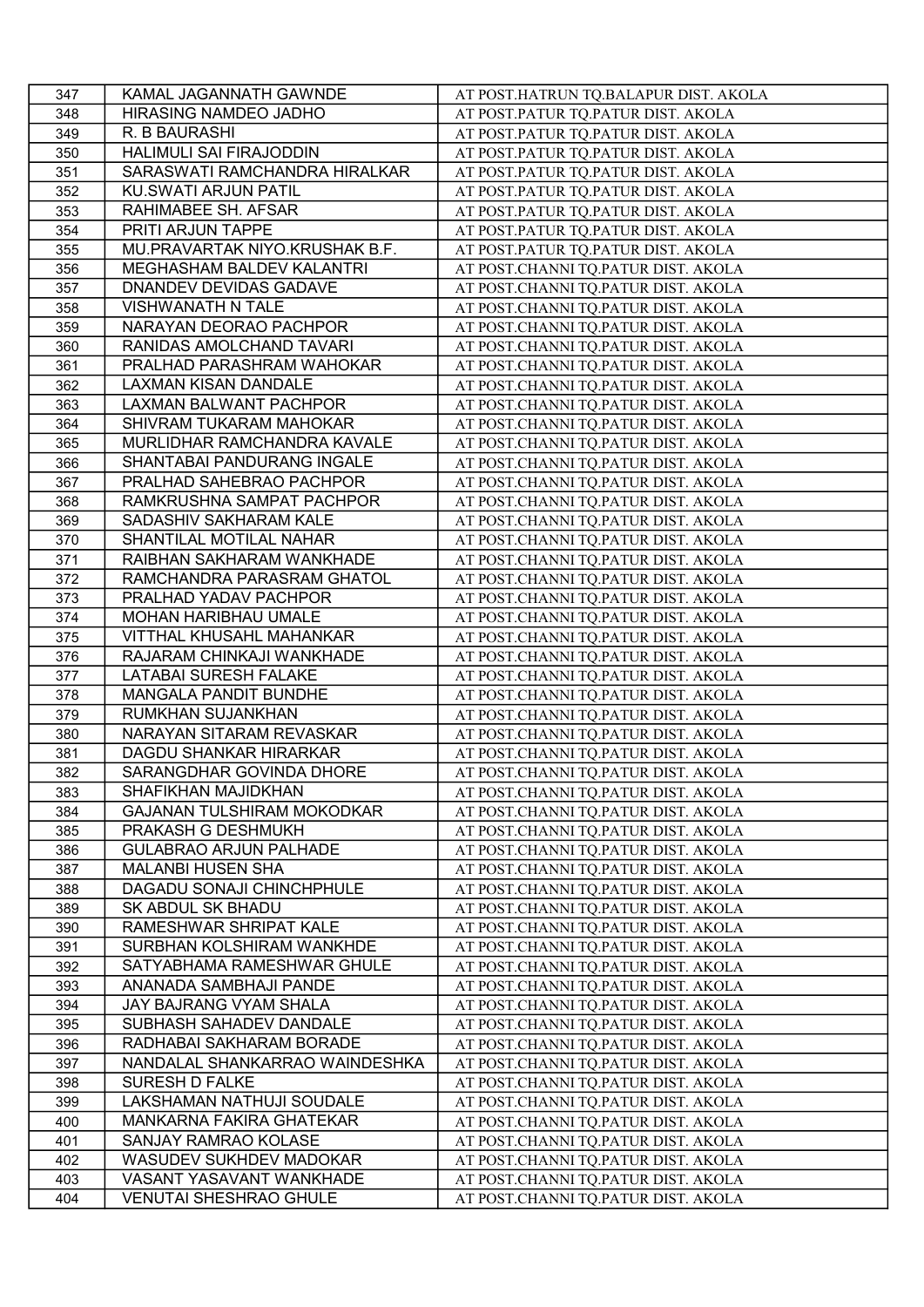| 347 | KAMAL JAGANNATH GAWNDE            | AT POST.HATRUN TQ.BALAPUR DIST. AKOLA |
|-----|-----------------------------------|---------------------------------------|
| 348 | HIRASING NAMDEO JADHO             | AT POST.PATUR TQ.PATUR DIST. AKOLA    |
| 349 | R. B BAURASHI                     | AT POST.PATUR TQ.PATUR DIST. AKOLA    |
| 350 | HALIMULI SAI FIRAJODDIN           | AT POST.PATUR TQ.PATUR DIST. AKOLA    |
| 351 | SARASWATI RAMCHANDRA HIRALKAR     | AT POST.PATUR TQ.PATUR DIST. AKOLA    |
| 352 | KU.SWATI ARJUN PATIL              | AT POST.PATUR TQ.PATUR DIST. AKOLA    |
| 353 | RAHIMABEE SH. AFSAR               | AT POST.PATUR TQ.PATUR DIST. AKOLA    |
| 354 | PRITI ARJUN TAPPE                 | AT POST.PATUR TQ.PATUR DIST. AKOLA    |
| 355 | MU.PRAVARTAK NIYO.KRUSHAK B.F.    | AT POST.PATUR TQ.PATUR DIST. AKOLA    |
| 356 | MEGHASHAM BALDEV KALANTRI         | AT POST.CHANNI TQ.PATUR DIST. AKOLA   |
| 357 | DNANDEV DEVIDAS GADAVE            | AT POST.CHANNI TQ.PATUR DIST. AKOLA   |
| 358 | VISHWANATH N TALE                 | AT POST.CHANNI TQ.PATUR DIST. AKOLA   |
| 359 | NARAYAN DEORAO PACHPOR            | AT POST.CHANNI TQ.PATUR DIST. AKOLA   |
| 360 | RANIDAS AMOLCHAND TAVARI          | AT POST.CHANNI TQ.PATUR DIST. AKOLA   |
| 361 | PRALHAD PARASHRAM WAHOKAR         | AT POST.CHANNI TQ.PATUR DIST. AKOLA   |
| 362 | LAXMAN KISAN DANDALE              | AT POST.CHANNI TQ.PATUR DIST. AKOLA   |
| 363 | LAXMAN BALWANT PACHPOR            | AT POST.CHANNI TQ.PATUR DIST. AKOLA   |
| 364 | SHIVRAM TUKARAM MAHOKAR           | AT POST.CHANNI TQ.PATUR DIST. AKOLA   |
| 365 | MURLIDHAR RAMCHANDRA KAVALE       | AT POST.CHANNI TQ.PATUR DIST. AKOLA   |
| 366 | SHANTABAI PANDURANG INGALE        | AT POST.CHANNI TQ.PATUR DIST. AKOLA   |
| 367 | PRALHAD SAHEBRAO PACHPOR          | AT POST.CHANNI TQ.PATUR DIST. AKOLA   |
| 368 | RAMKRUSHNA SAMPAT PACHPOR         | AT POST.CHANNI TQ.PATUR DIST. AKOLA   |
| 369 | SADASHIV SAKHARAM KALE            | AT POST.CHANNI TQ.PATUR DIST. AKOLA   |
| 370 | SHANTILAL MOTILAL NAHAR           | AT POST.CHANNI TQ.PATUR DIST. AKOLA   |
| 371 | RAIBHAN SAKHARAM WANKHADE         | AT POST.CHANNI TQ.PATUR DIST. AKOLA   |
| 372 | RAMCHANDRA PARASRAM GHATOL        | AT POST.CHANNI TQ.PATUR DIST. AKOLA   |
| 373 | PRALHAD YADAV PACHPOR             | AT POST.CHANNI TQ.PATUR DIST. AKOLA   |
| 374 | <b>MOHAN HARIBHAU UMALE</b>       | AT POST.CHANNI TQ.PATUR DIST. AKOLA   |
| 375 | VITTHAL KHUSAHL MAHANKAR          | AT POST.CHANNI TQ.PATUR DIST. AKOLA   |
| 376 | RAJARAM CHINKAJI WANKHADE         | AT POST.CHANNI TQ.PATUR DIST. AKOLA   |
| 377 | LATABAI SURESH FALAKE             | AT POST.CHANNI TQ.PATUR DIST. AKOLA   |
| 378 | MANGALA PANDIT BUNDHE             | AT POST.CHANNI TQ.PATUR DIST. AKOLA   |
| 379 | RUMKHAN SUJANKHAN                 | AT POST.CHANNI TQ.PATUR DIST. AKOLA   |
| 380 | NARAYAN SITARAM REVASKAR          | AT POST.CHANNI TQ.PATUR DIST. AKOLA   |
| 381 | DAGDU SHANKAR HIRARKAR            | AT POST.CHANNI TQ.PATUR DIST. AKOLA   |
| 382 | SARANGDHAR GOVINDA DHORE          | AT POST.CHANNI TQ.PATUR DIST. AKOLA   |
| 383 | SHAFIKHAN MAJIDKHAN               | AT POST.CHANNI TQ.PATUR DIST. AKOLA   |
| 384 | <b>GAJANAN TULSHIRAM MOKODKAR</b> | AT POST.CHANNI TQ.PATUR DIST. AKOLA   |
| 385 | PRAKASH G DESHMUKH                | AT POST.CHANNI TQ.PATUR DIST. AKOLA   |
| 386 | <b>GULABRAO ARJUN PALHADE</b>     | AT POST.CHANNI TQ.PATUR DIST. AKOLA   |
| 387 | <b>MALANBI HUSEN SHA</b>          | AT POST.CHANNI TQ.PATUR DIST. AKOLA   |
| 388 | DAGADU SONAJI CHINCHPHULE         | AT POST.CHANNI TQ.PATUR DIST. AKOLA   |
| 389 | SK ABDUL SK BHADU                 | AT POST.CHANNI TQ.PATUR DIST. AKOLA   |
| 390 | RAMESHWAR SHRIPAT KALE            | AT POST.CHANNI TQ.PATUR DIST. AKOLA   |
| 391 | SURBHAN KOLSHIRAM WANKHDE         | AT POST.CHANNI TQ.PATUR DIST. AKOLA   |
| 392 | SATYABHAMA RAMESHWAR GHULE        | AT POST.CHANNI TQ.PATUR DIST. AKOLA   |
| 393 | ANANADA SAMBHAJI PANDE            | AT POST.CHANNI TQ.PATUR DIST. AKOLA   |
| 394 | JAY BAJRANG VYAM SHALA            | AT POST.CHANNI TQ.PATUR DIST. AKOLA   |
| 395 | SUBHASH SAHADEV DANDALE           | AT POST.CHANNI TQ.PATUR DIST. AKOLA   |
| 396 | RADHABAI SAKHARAM BORADE          | AT POST.CHANNI TQ.PATUR DIST. AKOLA   |
| 397 | NANDALAL SHANKARRAO WAINDESHKA    | AT POST.CHANNI TQ.PATUR DIST. AKOLA   |
| 398 | <b>SURESH D FALKE</b>             | AT POST.CHANNI TQ.PATUR DIST. AKOLA   |
| 399 | LAKSHAMAN NATHUJI SOUDALE         | AT POST.CHANNI TQ.PATUR DIST. AKOLA   |
| 400 | MANKARNA FAKIRA GHATEKAR          | AT POST.CHANNI TQ.PATUR DIST. AKOLA   |
| 401 | SANJAY RAMRAO KOLASE              | AT POST.CHANNI TQ.PATUR DIST. AKOLA   |
| 402 | WASUDEV SUKHDEV MADOKAR           | AT POST.CHANNI TQ.PATUR DIST. AKOLA   |
| 403 | VASANT YASAVANT WANKHADE          | AT POST.CHANNI TQ.PATUR DIST. AKOLA   |
| 404 | <b>VENUTAI SHESHRAO GHULE</b>     | AT POST.CHANNI TQ.PATUR DIST. AKOLA   |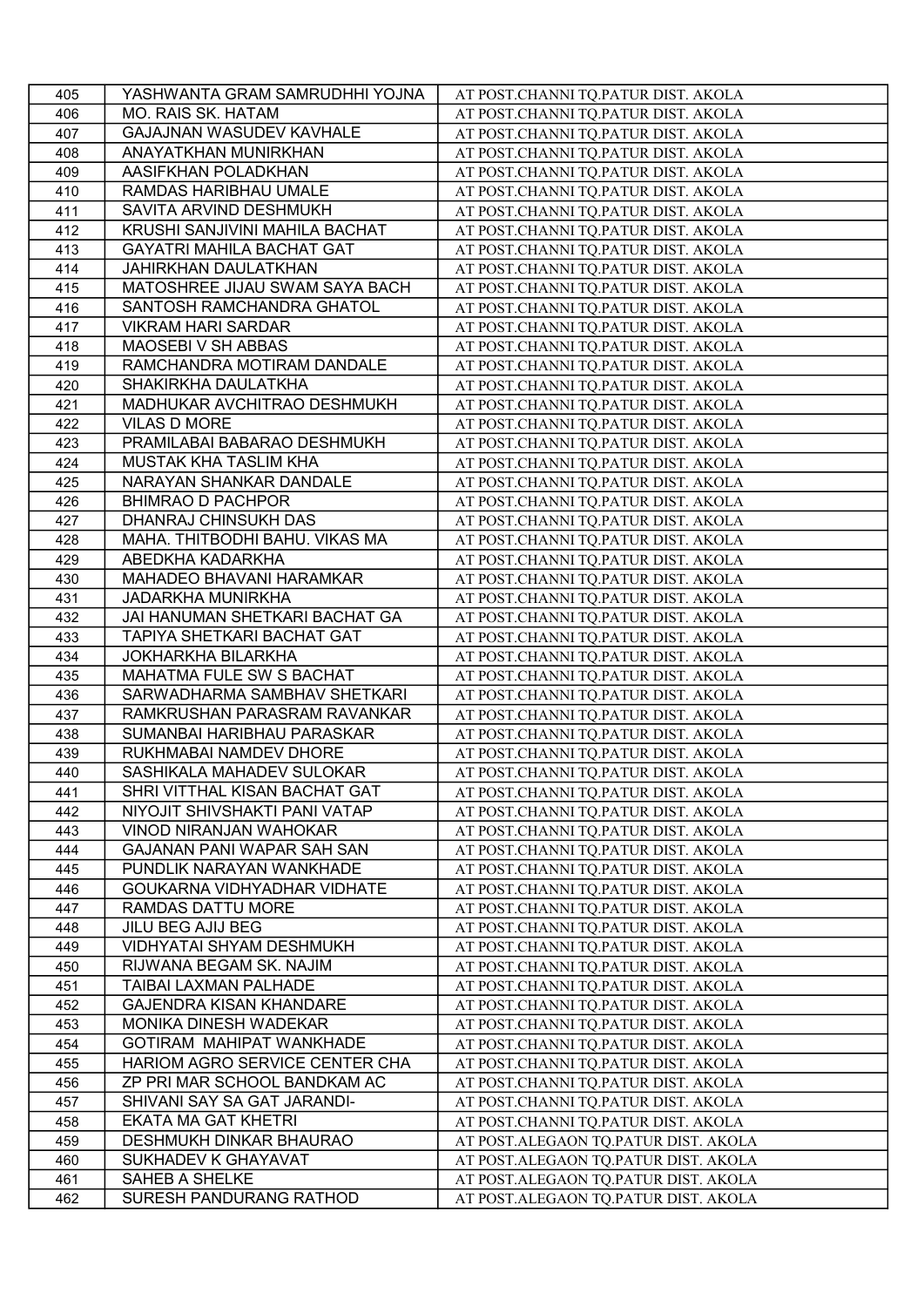| 405 | YASHWANTA GRAM SAMRUDHHI YOJNA   | AT POST.CHANNI TQ.PATUR DIST. AKOLA  |
|-----|----------------------------------|--------------------------------------|
| 406 | <b>MO. RAIS SK. HATAM</b>        | AT POST.CHANNI TQ.PATUR DIST. AKOLA  |
| 407 | GAJAJNAN WASUDEV KAVHALE         | AT POST.CHANNI TQ.PATUR DIST. AKOLA  |
| 408 | ANAYATKHAN MUNIRKHAN             | AT POST.CHANNI TQ.PATUR DIST. AKOLA  |
| 409 | AASIFKHAN POLADKHAN              | AT POST.CHANNI TQ.PATUR DIST. AKOLA  |
| 410 | RAMDAS HARIBHAU UMALE            | AT POST.CHANNI TQ.PATUR DIST. AKOLA  |
| 411 | SAVITA ARVIND DESHMUKH           | AT POST.CHANNI TQ.PATUR DIST. AKOLA  |
| 412 | KRUSHI SANJIVINI MAHILA BACHAT   | AT POST.CHANNI TQ.PATUR DIST. AKOLA  |
| 413 | <b>GAYATRI MAHILA BACHAT GAT</b> | AT POST.CHANNI TQ.PATUR DIST. AKOLA  |
| 414 | JAHIRKHAN DAULATKHAN             | AT POST.CHANNI TQ.PATUR DIST. AKOLA  |
| 415 | MATOSHREE JIJAU SWAM SAYA BACH   | AT POST.CHANNI TQ.PATUR DIST. AKOLA  |
| 416 | SANTOSH RAMCHANDRA GHATOL        | AT POST.CHANNI TQ.PATUR DIST. AKOLA  |
| 417 | <b>VIKRAM HARI SARDAR</b>        | AT POST.CHANNI TQ.PATUR DIST. AKOLA  |
| 418 | <b>MAOSEBI V SH ABBAS</b>        | AT POST.CHANNI TQ.PATUR DIST. AKOLA  |
| 419 | RAMCHANDRA MOTIRAM DANDALE       | AT POST.CHANNI TQ.PATUR DIST. AKOLA  |
| 420 | SHAKIRKHA DAULATKHA              | AT POST.CHANNI TQ.PATUR DIST. AKOLA  |
| 421 | MADHUKAR AVCHITRAO DESHMUKH      | AT POST.CHANNI TQ.PATUR DIST. AKOLA  |
| 422 | VILAS D MORE                     | AT POST.CHANNI TQ.PATUR DIST. AKOLA  |
| 423 | PRAMILABAI BABARAO DESHMUKH      | AT POST.CHANNI TQ.PATUR DIST. AKOLA  |
| 424 | MUSTAK KHA TASLIM KHA            | AT POST.CHANNI TQ.PATUR DIST. AKOLA  |
| 425 | NARAYAN SHANKAR DANDALE          | AT POST.CHANNI TQ.PATUR DIST. AKOLA  |
| 426 | <b>BHIMRAO D PACHPOR</b>         | AT POST.CHANNI TQ.PATUR DIST. AKOLA  |
| 427 | DHANRAJ CHINSUKH DAS             | AT POST.CHANNI TQ.PATUR DIST. AKOLA  |
| 428 | MAHA. THITBODHI BAHU. VIKAS MA   | AT POST.CHANNI TQ.PATUR DIST. AKOLA  |
| 429 | ABEDKHA KADARKHA                 | AT POST.CHANNI TQ.PATUR DIST. AKOLA  |
| 430 | MAHADEO BHAVANI HARAMKAR         | AT POST.CHANNI TQ.PATUR DIST. AKOLA  |
| 431 | <b>JADARKHA MUNIRKHA</b>         | AT POST.CHANNI TQ.PATUR DIST. AKOLA  |
| 432 | JAI HANUMAN SHETKARI BACHAT GA   | AT POST.CHANNI TQ.PATUR DIST. AKOLA  |
| 433 | TAPIYA SHETKARI BACHAT GAT       | AT POST.CHANNI TQ.PATUR DIST. AKOLA  |
| 434 | JOKHARKHA BILARKHA               | AT POST.CHANNI TQ.PATUR DIST. AKOLA  |
| 435 | MAHATMA FULE SW S BACHAT         | AT POST.CHANNI TQ.PATUR DIST. AKOLA  |
| 436 | SARWADHARMA SAMBHAV SHETKARI     | AT POST.CHANNI TQ.PATUR DIST. AKOLA  |
| 437 | RAMKRUSHAN PARASRAM RAVANKAR     | AT POST.CHANNI TQ.PATUR DIST. AKOLA  |
| 438 | SUMANBAI HARIBHAU PARASKAR       | AT POST.CHANNI TQ.PATUR DIST. AKOLA  |
| 439 | RUKHMABAI NAMDEV DHORE           | AT POST.CHANNI TQ.PATUR DIST. AKOLA  |
| 440 | SASHIKALA MAHADEV SULOKAR        | AT POST.CHANNI TQ.PATUR DIST. AKOLA  |
| 441 | SHRI VITTHAL KISAN BACHAT GAT    | AT POST.CHANNI TQ.PATUR DIST. AKOLA  |
| 442 | NIYOJIT SHIVSHAKTI PANI VATAP    | AT POST.CHANNI TQ.PATUR DIST. AKOLA  |
| 443 | VINOD NIRANJAN WAHOKAR           | AT POST.CHANNI TQ.PATUR DIST. AKOLA  |
| 444 | GAJANAN PANI WAPAR SAH SAN       | AT POST.CHANNI TQ.PATUR DIST. AKOLA  |
| 445 | PUNDLIK NARAYAN WANKHADE         | AT POST.CHANNI TQ.PATUR DIST. AKOLA  |
| 446 | GOUKARNA VIDHYADHAR VIDHATE      | AT POST.CHANNI TQ.PATUR DIST. AKOLA  |
| 447 | RAMDAS DATTU MORE                | AT POST.CHANNI TQ.PATUR DIST. AKOLA  |
| 448 | JILU BEG AJIJ BEG                | AT POST.CHANNI TQ.PATUR DIST. AKOLA  |
| 449 | VIDHYATAI SHYAM DESHMUKH         | AT POST.CHANNI TQ.PATUR DIST. AKOLA  |
| 450 | RIJWANA BEGAM SK. NAJIM          | AT POST.CHANNI TQ.PATUR DIST. AKOLA  |
| 451 | TAIBAI LAXMAN PALHADE            | AT POST.CHANNI TQ.PATUR DIST. AKOLA  |
| 452 | <b>GAJENDRA KISAN KHANDARE</b>   | AT POST.CHANNI TQ.PATUR DIST. AKOLA  |
| 453 | MONIKA DINESH WADEKAR            | AT POST.CHANNI TQ.PATUR DIST. AKOLA  |
| 454 | GOTIRAM MAHIPAT WANKHADE         | AT POST.CHANNI TQ.PATUR DIST. AKOLA  |
| 455 | HARIOM AGRO SERVICE CENTER CHA   | AT POST.CHANNI TQ.PATUR DIST. AKOLA  |
| 456 | ZP PRI MAR SCHOOL BANDKAM AC     | AT POST.CHANNI TQ.PATUR DIST. AKOLA  |
| 457 | SHIVANI SAY SA GAT JARANDI-      | AT POST.CHANNI TQ.PATUR DIST. AKOLA  |
| 458 | EKATA MA GAT KHETRI              | AT POST.CHANNI TQ.PATUR DIST. AKOLA  |
| 459 | DESHMUKH DINKAR BHAURAO          | AT POST.ALEGAON TQ.PATUR DIST. AKOLA |
| 460 | SUKHADEV K GHAYAVAT              | AT POST.ALEGAON TQ.PATUR DIST. AKOLA |
| 461 | <b>SAHEB A SHELKE</b>            | AT POST.ALEGAON TQ.PATUR DIST. AKOLA |
| 462 | SURESH PANDURANG RATHOD          | AT POST.ALEGAON TQ.PATUR DIST. AKOLA |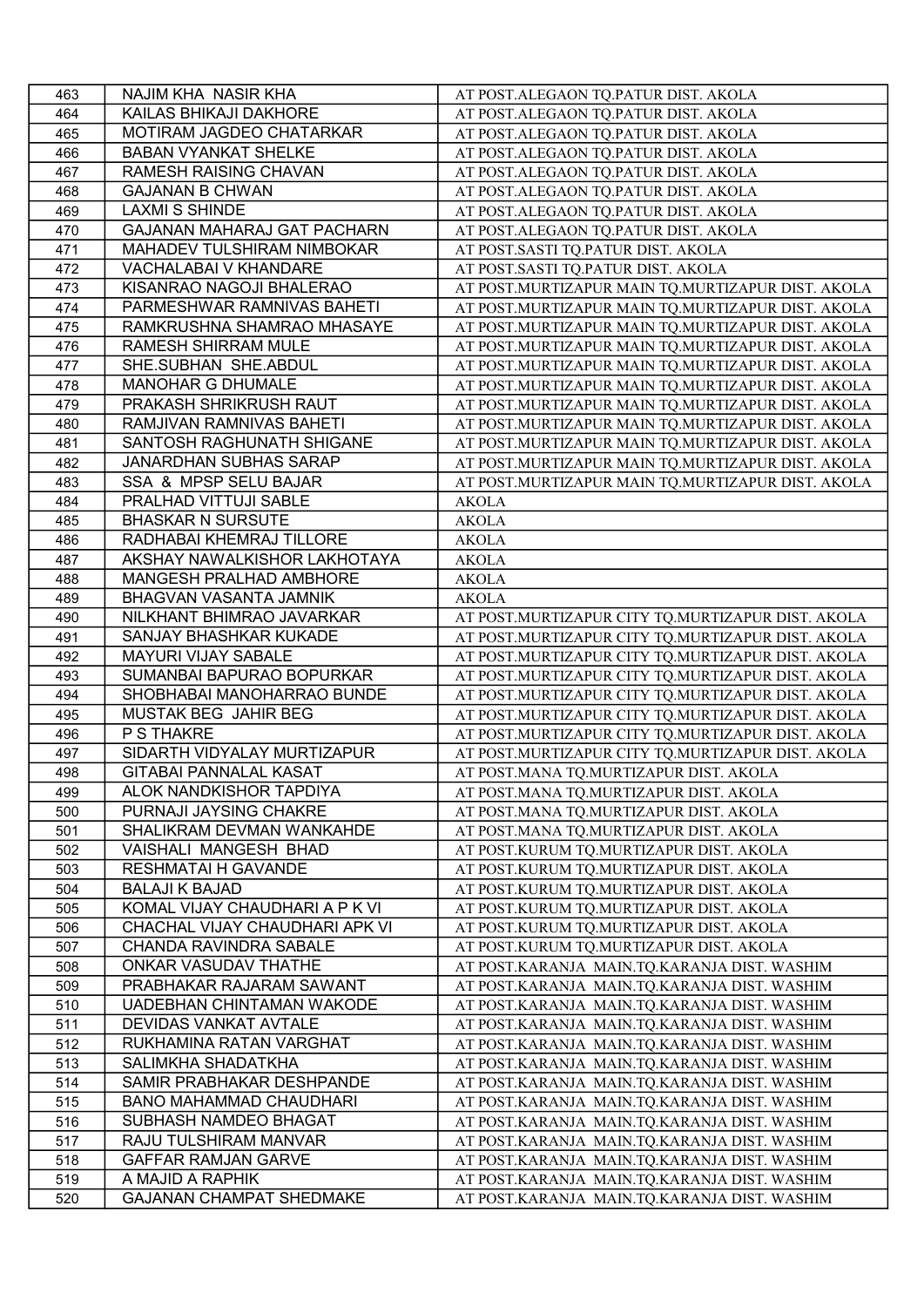| 463        | NAJIM KHA NASIR KHA                                 | AT POST.ALEGAON TO.PATUR DIST. AKOLA                                                         |
|------------|-----------------------------------------------------|----------------------------------------------------------------------------------------------|
| 464        | KAILAS BHIKAJI DAKHORE                              | AT POST.ALEGAON TO.PATUR DIST. AKOLA                                                         |
| 465        | MOTIRAM JAGDEO CHATARKAR                            | AT POST.ALEGAON TQ.PATUR DIST. AKOLA                                                         |
| 466        | <b>BABAN VYANKAT SHELKE</b>                         | AT POST.ALEGAON TQ.PATUR DIST. AKOLA                                                         |
| 467        | <b>RAMESH RAISING CHAVAN</b>                        | AT POST.ALEGAON TQ.PATUR DIST. AKOLA                                                         |
| 468        | <b>GAJANAN B CHWAN</b>                              | AT POST.ALEGAON TQ.PATUR DIST. AKOLA                                                         |
| 469        | <b>LAXMI S SHINDE</b>                               | AT POST.ALEGAON TQ.PATUR DIST. AKOLA                                                         |
| 470        | <b>GAJANAN MAHARAJ GAT PACHARN</b>                  | AT POST.ALEGAON TQ.PATUR DIST. AKOLA                                                         |
| 471        | MAHADEV TULSHIRAM NIMBOKAR                          | AT POST.SASTI TQ.PATUR DIST. AKOLA                                                           |
| 472        | VACHALABAI V KHANDARE                               | AT POST.SASTI TQ.PATUR DIST. AKOLA                                                           |
| 473        | KISANRAO NAGOJI BHALERAO                            | AT POST.MURTIZAPUR MAIN TQ.MURTIZAPUR DIST. AKOLA                                            |
| 474        | PARMESHWAR RAMNIVAS BAHETI                          | AT POST.MURTIZAPUR MAIN TQ.MURTIZAPUR DIST. AKOLA                                            |
| 475        | RAMKRUSHNA SHAMRAO MHASAYE                          | AT POST.MURTIZAPUR MAIN TQ.MURTIZAPUR DIST. AKOLA                                            |
| 476        | RAMESH SHIRRAM MULE                                 | AT POST.MURTIZAPUR MAIN TQ.MURTIZAPUR DIST. AKOLA                                            |
| 477        | SHE.SUBHAN SHE.ABDUL                                | AT POST.MURTIZAPUR MAIN TQ.MURTIZAPUR DIST. AKOLA                                            |
| 478        | <b>MANOHAR G DHUMALE</b>                            | AT POST.MURTIZAPUR MAIN TQ.MURTIZAPUR DIST. AKOLA                                            |
| 479        | PRAKASH SHRIKRUSH RAUT                              |                                                                                              |
|            | RAMJIVAN RAMNIVAS BAHETI                            | AT POST.MURTIZAPUR MAIN TQ.MURTIZAPUR DIST. AKOLA                                            |
| 480        |                                                     | AT POST.MURTIZAPUR MAIN TQ.MURTIZAPUR DIST. AKOLA                                            |
| 481        | SANTOSH RAGHUNATH SHIGANE                           | AT POST.MURTIZAPUR MAIN TQ.MURTIZAPUR DIST. AKOLA                                            |
| 482        | <b>JANARDHAN SUBHAS SARAP</b>                       | AT POST.MURTIZAPUR MAIN TQ.MURTIZAPUR DIST. AKOLA                                            |
| 483        | SSA & MPSP SELU BAJAR                               | AT POST.MURTIZAPUR MAIN TQ.MURTIZAPUR DIST. AKOLA                                            |
| 484        | PRALHAD VITTUJI SABLE                               | <b>AKOLA</b>                                                                                 |
| 485        | <b>BHASKAR N SURSUTE</b>                            | <b>AKOLA</b>                                                                                 |
| 486        | RADHABAI KHEMRAJ TILLORE                            | <b>AKOLA</b>                                                                                 |
| 487        | AKSHAY NAWALKISHOR LAKHOTAYA                        | <b>AKOLA</b>                                                                                 |
| 488        | MANGESH PRALHAD AMBHORE                             | <b>AKOLA</b>                                                                                 |
| 489        | BHAGVAN VASANTA JAMNIK                              | <b>AKOLA</b>                                                                                 |
| 490        | NILKHANT BHIMRAO JAVARKAR                           | AT POST.MURTIZAPUR CITY TQ.MURTIZAPUR DIST. AKOLA                                            |
| 491        | SANJAY BHASHKAR KUKADE                              | AT POST.MURTIZAPUR CITY TQ.MURTIZAPUR DIST. AKOLA                                            |
| 492        | <b>MAYURI VIJAY SABALE</b>                          | AT POST.MURTIZAPUR CITY TQ.MURTIZAPUR DIST. AKOLA                                            |
| 493        | SUMANBAI BAPURAO BOPURKAR                           | AT POST.MURTIZAPUR CITY TQ.MURTIZAPUR DIST. AKOLA                                            |
| 494        | SHOBHABAI MANOHARRAO BUNDE                          | AT POST.MURTIZAPUR CITY TQ.MURTIZAPUR DIST. AKOLA                                            |
| 495        | MUSTAK BEG JAHIR BEG                                | AT POST.MURTIZAPUR CITY TQ.MURTIZAPUR DIST. AKOLA                                            |
| 496        | P S THAKRE                                          | AT POST.MURTIZAPUR CITY TQ.MURTIZAPUR DIST. AKOLA                                            |
| 497        | SIDARTH VIDYALAY MURTIZAPUR                         | AT POST.MURTIZAPUR CITY TQ.MURTIZAPUR DIST. AKOLA                                            |
| 498        | <b>GITABAI PANNALAL KASAT</b>                       | AT POST.MANA TQ.MURTIZAPUR DIST. AKOLA                                                       |
| 499        | ALOK NANDKISHOR TAPDIYA                             | AT POST.MANA TQ.MURTIZAPUR DIST. AKOLA                                                       |
| 500        | PURNAJI JAYSING CHAKRE                              | AT POST.MANA TQ.MURTIZAPUR DIST. AKOLA                                                       |
| 501        | SHALIKRAM DEVMAN WANKAHDE                           | AT POST.MANA TQ.MURTIZAPUR DIST. AKOLA                                                       |
| 502        | VAISHALI MANGESH BHAD                               |                                                                                              |
|            |                                                     |                                                                                              |
| 503        | RESHMATAI H GAVANDE                                 | AT POST.KURUM TQ.MURTIZAPUR DIST. AKOLA<br>AT POST.KURUM TO.MURTIZAPUR DIST. AKOLA           |
| 504        | BALAJI K BAJAD                                      | AT POST.KURUM TQ.MURTIZAPUR DIST. AKOLA                                                      |
| 505        | KOMAL VIJAY CHAUDHARI A P K VI                      | AT POST.KURUM TQ.MURTIZAPUR DIST. AKOLA                                                      |
| 506        | CHACHAL VIJAY CHAUDHARI APK VI                      |                                                                                              |
|            |                                                     | AT POST.KURUM TQ.MURTIZAPUR DIST. AKOLA                                                      |
| 507        | CHANDA RAVINDRA SABALE                              | AT POST.KURUM TQ.MURTIZAPUR DIST. AKOLA                                                      |
| 508        | ONKAR VASUDAV THATHE                                | AT POST.KARANJA MAIN.TQ.KARANJA DIST. WASHIM                                                 |
| 509        | PRABHAKAR RAJARAM SAWANT                            | AT POST.KARANJA MAIN.TQ.KARANJA DIST. WASHIM                                                 |
| 510        | UADEBHAN CHINTAMAN WAKODE                           | AT POST.KARANJA MAIN.TQ.KARANJA DIST. WASHIM                                                 |
| 511        | DEVIDAS VANKAT AVTALE                               | AT POST.KARANJA MAIN.TQ.KARANJA DIST. WASHIM                                                 |
| 512        | RUKHAMINA RATAN VARGHAT                             | AT POST.KARANJA MAIN.TQ.KARANJA DIST. WASHIM                                                 |
| 513        | SALIMKHA SHADATKHA                                  | AT POST.KARANJA MAIN.TQ.KARANJA DIST. WASHIM                                                 |
| 514        | SAMIR PRABHAKAR DESHPANDE                           | AT POST.KARANJA MAIN.TQ.KARANJA DIST. WASHIM                                                 |
| 515        | <b>BANO MAHAMMAD CHAUDHARI</b>                      | AT POST.KARANJA MAIN.TQ.KARANJA DIST. WASHIM                                                 |
| 516        | SUBHASH NAMDEO BHAGAT                               | AT POST.KARANJA MAIN.TQ.KARANJA DIST. WASHIM                                                 |
| 517        | RAJU TULSHIRAM MANVAR                               | AT POST.KARANJA MAIN.TQ.KARANJA DIST. WASHIM                                                 |
| 518        | <b>GAFFAR RAMJAN GARVE</b>                          | AT POST.KARANJA MAIN.TQ.KARANJA DIST. WASHIM                                                 |
| 519<br>520 | A MAJID A RAPHIK<br><b>GAJANAN CHAMPAT SHEDMAKE</b> | AT POST.KARANJA MAIN.TQ.KARANJA DIST. WASHIM<br>AT POST.KARANJA MAIN.TQ.KARANJA DIST. WASHIM |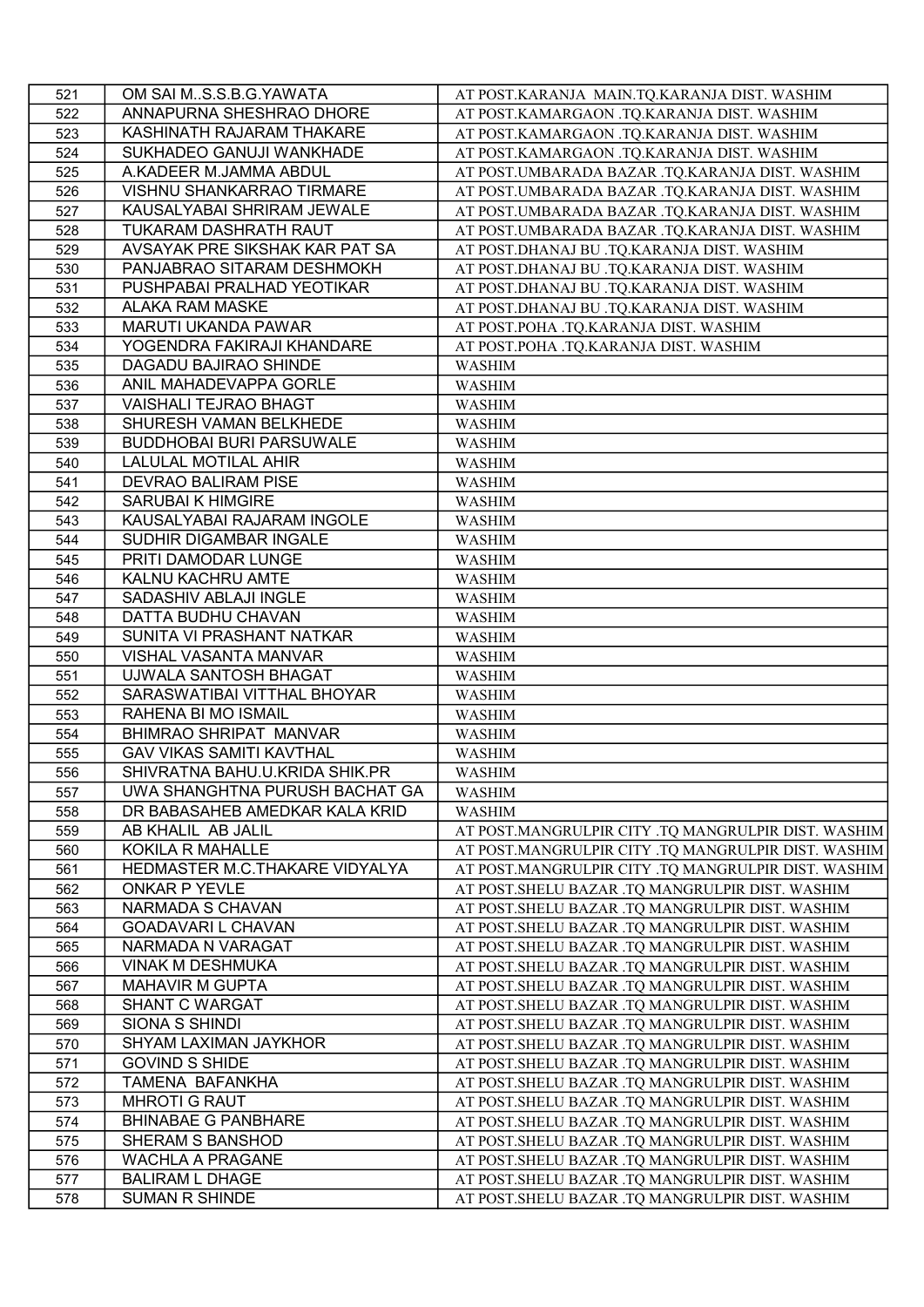| 521 | OM SAI MS.S.B.G.YAWATA           | AT POST.KARANJA MAIN.TQ.KARANJA DIST. WASHIM        |
|-----|----------------------------------|-----------------------------------------------------|
| 522 | ANNAPURNA SHESHRAO DHORE         | AT POST.KAMARGAON .TQ.KARANJA DIST. WASHIM          |
| 523 | KASHINATH RAJARAM THAKARE        | AT POST.KAMARGAON .TQ.KARANJA DIST. WASHIM          |
| 524 | SUKHADEO GANUJI WANKHADE         | AT POST.KAMARGAON .TQ.KARANJA DIST. WASHIM          |
| 525 | A.KADEER M.JAMMA ABDUL           | AT POST.UMBARADA BAZAR .TQ.KARANJA DIST. WASHIM     |
| 526 | <b>VISHNU SHANKARRAO TIRMARE</b> | AT POST.UMBARADA BAZAR .TQ.KARANJA DIST. WASHIM     |
| 527 | KAUSALYABAI SHRIRAM JEWALE       | AT POST.UMBARADA BAZAR .TQ.KARANJA DIST. WASHIM     |
| 528 | TUKARAM DASHRATH RAUT            | AT POST.UMBARADA BAZAR .TQ.KARANJA DIST. WASHIM     |
| 529 | AVSAYAK PRE SIKSHAK KAR PAT SA   | AT POST.DHANAJ BU .TQ.KARANJA DIST. WASHIM          |
| 530 | PANJABRAO SITARAM DESHMOKH       | AT POST.DHANAJ BU .TQ.KARANJA DIST. WASHIM          |
| 531 | PUSHPABAI PRALHAD YEOTIKAR       | AT POST.DHANAJ BU .TQ.KARANJA DIST. WASHIM          |
| 532 | ALAKA RAM MASKE                  | AT POST.DHANAJ BU .TQ.KARANJA DIST. WASHIM          |
| 533 | MARUTI UKANDA PAWAR              | AT POST.POHA .TQ.KARANJA DIST. WASHIM               |
| 534 | YOGENDRA FAKIRAJI KHANDARE       | AT POST.POHA .TQ.KARANJA DIST. WASHIM               |
| 535 | DAGADU BAJIRAO SHINDE            | <b>WASHIM</b>                                       |
| 536 | ANIL MAHADEVAPPA GORLE           | <b>WASHIM</b>                                       |
| 537 | VAISHALI TEJRAO BHAGT            | <b>WASHIM</b>                                       |
|     | SHURESH VAMAN BELKHEDE           |                                                     |
| 538 |                                  | <b>WASHIM</b>                                       |
| 539 | <b>BUDDHOBAI BURI PARSUWALE</b>  | <b>WASHIM</b>                                       |
| 540 | LALULAL MOTILAL AHIR             | <b>WASHIM</b>                                       |
| 541 | <b>DEVRAO BALIRAM PISE</b>       | <b>WASHIM</b>                                       |
| 542 | <b>SARUBAI K HIMGIRE</b>         | <b>WASHIM</b>                                       |
| 543 | KAUSALYABAI RAJARAM INGOLE       | <b>WASHIM</b>                                       |
| 544 | SUDHIR DIGAMBAR INGALE           | <b>WASHIM</b>                                       |
| 545 | PRITI DAMODAR LUNGE              | <b>WASHIM</b>                                       |
| 546 | KALNU KACHRU AMTE                | <b>WASHIM</b>                                       |
| 547 | SADASHIV ABLAJI INGLE            | <b>WASHIM</b>                                       |
| 548 | DATTA BUDHU CHAVAN               | <b>WASHIM</b>                                       |
| 549 | SUNITA VI PRASHANT NATKAR        | <b>WASHIM</b>                                       |
| 550 | VISHAL VASANTA MANVAR            | WASHIM                                              |
| 551 | UJWALA SANTOSH BHAGAT            | WASHIM                                              |
| 552 | SARASWATIBAI VITTHAL BHOYAR      | <b>WASHIM</b>                                       |
| 553 | RAHENA BI MO ISMAIL              | <b>WASHIM</b>                                       |
| 554 | BHIMRAO SHRIPAT MANVAR           | <b>WASHIM</b>                                       |
| 555 | <b>GAV VIKAS SAMITI KAVTHAL</b>  | <b>WASHIM</b>                                       |
| 556 | SHIVRATNA BAHU.U.KRIDA SHIK.PR   | <b>WASHIM</b>                                       |
| 557 | UWA SHANGHTNA PURUSH BACHAT GA   | <b>WASHIM</b>                                       |
| 558 | DR BABASAHEB AMEDKAR KALA KRID   | <b>WASHIM</b>                                       |
| 559 | AB KHALIL AB JALIL               | AT POST.MANGRULPIR CITY .TQ MANGRULPIR DIST. WASHIM |
| 560 | <b>KOKILA R MAHALLE</b>          | AT POST.MANGRULPIR CITY .TQ MANGRULPIR DIST. WASHIM |
| 561 | HEDMASTER M.C.THAKARE VIDYALYA   | AT POST.MANGRULPIR CITY .TQ MANGRULPIR DIST. WASHIM |
| 562 | ONKAR P YEVLE                    | AT POST. SHELU BAZAR .TQ MANGRULPIR DIST. WASHIM    |
| 563 | NARMADA S CHAVAN                 | AT POST.SHELU BAZAR .TQ MANGRULPIR DIST. WASHIM     |
| 564 | <b>GOADAVARI L CHAVAN</b>        | AT POST.SHELU BAZAR .TQ MANGRULPIR DIST. WASHIM     |
| 565 | NARMADA N VARAGAT                | AT POST.SHELU BAZAR .TQ MANGRULPIR DIST. WASHIM     |
| 566 | <b>VINAK M DESHMUKA</b>          | AT POST.SHELU BAZAR .TQ MANGRULPIR DIST. WASHIM     |
| 567 | <b>MAHAVIR M GUPTA</b>           | AT POST.SHELU BAZAR .TQ MANGRULPIR DIST. WASHIM     |
| 568 | <b>SHANT C WARGAT</b>            | AT POST.SHELU BAZAR .TQ MANGRULPIR DIST. WASHIM     |
| 569 | SIONA S SHINDI                   | AT POST.SHELU BAZAR .TQ MANGRULPIR DIST. WASHIM     |
| 570 | SHYAM LAXIMAN JAYKHOR            | AT POST.SHELU BAZAR .TQ MANGRULPIR DIST. WASHIM     |
| 571 | <b>GOVIND S SHIDE</b>            | AT POST.SHELU BAZAR .TQ MANGRULPIR DIST. WASHIM     |
| 572 | TAMENA BAFANKHA                  |                                                     |
| 573 | <b>MHROTI G RAUT</b>             | AT POST. SHELU BAZAR .TQ MANGRULPIR DIST. WASHIM    |
|     |                                  | AT POST. SHELU BAZAR .TQ MANGRULPIR DIST. WASHIM    |
| 574 | <b>BHINABAE G PANBHARE</b>       | AT POST.SHELU BAZAR .TQ MANGRULPIR DIST. WASHIM     |
| 575 | SHERAM S BANSHOD                 | AT POST.SHELU BAZAR .TQ MANGRULPIR DIST. WASHIM     |
| 576 | <b>WACHLA A PRAGANE</b>          | AT POST.SHELU BAZAR .TQ MANGRULPIR DIST. WASHIM     |
| 577 | <b>BALIRAM L DHAGE</b>           | AT POST. SHELU BAZAR .TQ MANGRULPIR DIST. WASHIM    |
| 578 | <b>SUMAN R SHINDE</b>            | AT POST.SHELU BAZAR .TQ MANGRULPIR DIST. WASHIM     |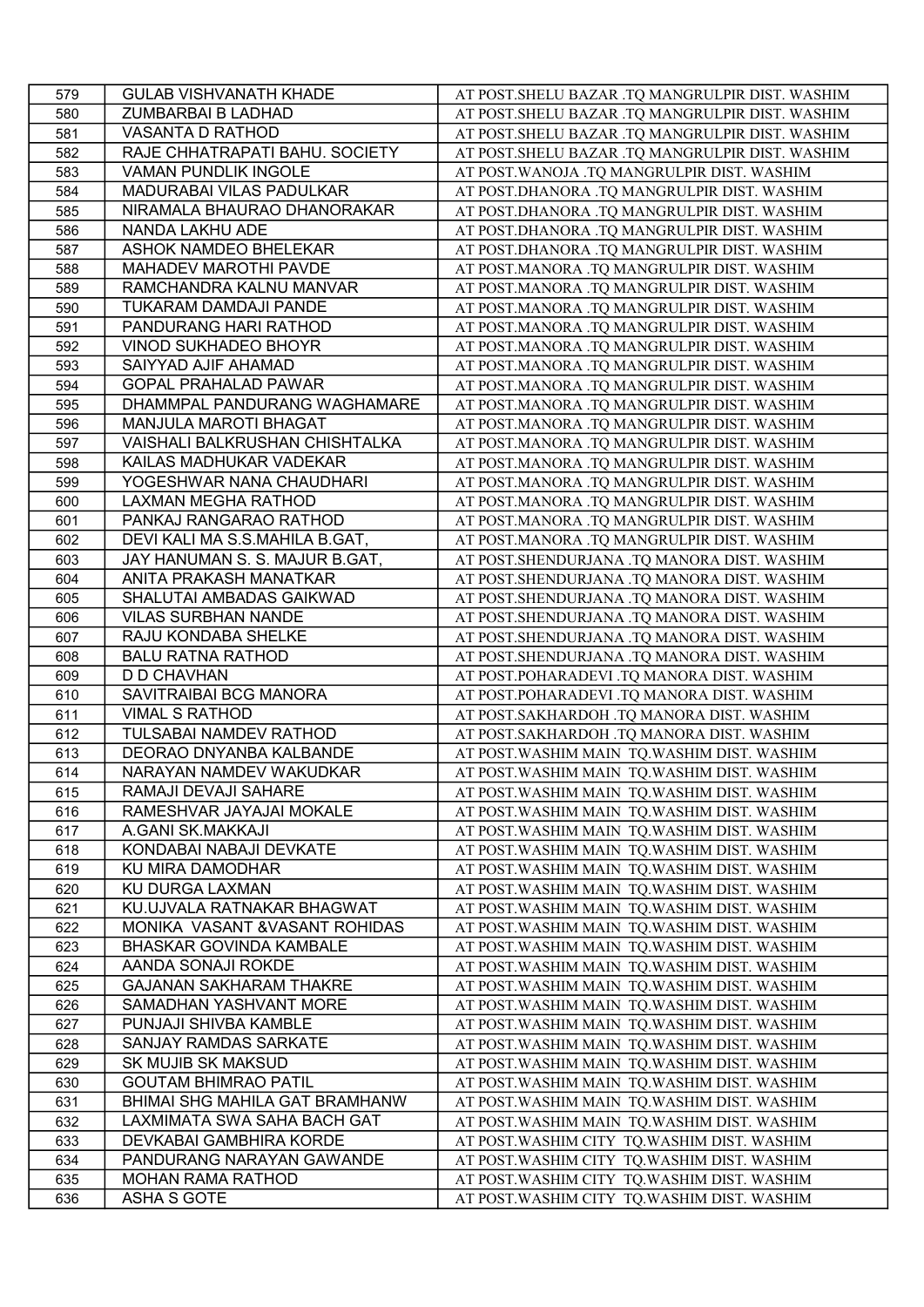| 579        | <b>GULAB VISHVANATH KHADE</b>  | AT POST.SHELU BAZAR .TQ MANGRULPIR DIST. WASHIM                                              |
|------------|--------------------------------|----------------------------------------------------------------------------------------------|
| 580        | ZUMBARBAI B LADHAD             | AT POST. SHELU BAZAR .TQ MANGRULPIR DIST. WASHIM                                             |
| 581        | VASANTA D RATHOD               | AT POST.SHELU BAZAR .TQ MANGRULPIR DIST. WASHIM                                              |
| 582        | RAJE CHHATRAPATI BAHU. SOCIETY | AT POST.SHELU BAZAR .TQ MANGRULPIR DIST. WASHIM                                              |
| 583        | <b>VAMAN PUNDLIK INGOLE</b>    | AT POST. WANOJA .TQ MANGRULPIR DIST. WASHIM                                                  |
| 584        | MADURABAI VILAS PADULKAR       | AT POST.DHANORA .TQ MANGRULPIR DIST. WASHIM                                                  |
| 585        | NIRAMALA BHAURAO DHANORAKAR    | AT POST.DHANORA .TQ MANGRULPIR DIST. WASHIM                                                  |
| 586        | NANDA LAKHU ADE                | AT POST.DHANORA .TQ MANGRULPIR DIST. WASHIM                                                  |
| 587        | ASHOK NAMDEO BHELEKAR          | AT POST.DHANORA .TQ MANGRULPIR DIST. WASHIM                                                  |
| 588        | MAHADEV MAROTHI PAVDE          | AT POST.MANORA .TQ MANGRULPIR DIST. WASHIM                                                   |
| 589        | RAMCHANDRA KALNU MANVAR        | AT POST.MANORA .TQ MANGRULPIR DIST. WASHIM                                                   |
| 590        | TUKARAM DAMDAJI PANDE          | AT POST.MANORA .TQ MANGRULPIR DIST. WASHIM                                                   |
| 591        | PANDURANG HARI RATHOD          | AT POST.MANORA .TQ MANGRULPIR DIST. WASHIM                                                   |
| 592        | <b>VINOD SUKHADEO BHOYR</b>    | AT POST.MANORA .TQ MANGRULPIR DIST. WASHIM                                                   |
| 593        | SAIYYAD AJIF AHAMAD            | AT POST.MANORA .TQ MANGRULPIR DIST. WASHIM                                                   |
| 594        | <b>GOPAL PRAHALAD PAWAR</b>    | AT POST.MANORA .TQ MANGRULPIR DIST. WASHIM                                                   |
| 595        | DHAMMPAL PANDURANG WAGHAMARE   | AT POST.MANORA .TQ MANGRULPIR DIST. WASHIM                                                   |
| 596        | MANJULA MAROTI BHAGAT          | AT POST.MANORA .TQ MANGRULPIR DIST. WASHIM                                                   |
| 597        | VAISHALI BALKRUSHAN CHISHTALKA | AT POST.MANORA .TQ MANGRULPIR DIST. WASHIM                                                   |
| 598        | KAILAS MADHUKAR VADEKAR        | AT POST.MANORA .TQ MANGRULPIR DIST. WASHIM                                                   |
| 599        | YOGESHWAR NANA CHAUDHARI       | AT POST.MANORA .TQ MANGRULPIR DIST. WASHIM                                                   |
| 600        | LAXMAN MEGHA RATHOD            | AT POST.MANORA .TQ MANGRULPIR DIST. WASHIM                                                   |
| 601        | PANKAJ RANGARAO RATHOD         | AT POST.MANORA .TQ MANGRULPIR DIST. WASHIM                                                   |
| 602        | DEVI KALI MA S.S.MAHILA B.GAT, | AT POST.MANORA .TQ MANGRULPIR DIST. WASHIM                                                   |
| 603        | JAY HANUMAN S. S. MAJUR B.GAT, | AT POST.SHENDURJANA .TQ MANORA DIST. WASHIM                                                  |
| 604        | ANITA PRAKASH MANATKAR         | AT POST.SHENDURJANA .TQ MANORA DIST. WASHIM                                                  |
| 605        | SHALUTAI AMBADAS GAIKWAD       | AT POST.SHENDURJANA .TQ MANORA DIST. WASHIM                                                  |
| 606        | <b>VILAS SURBHAN NANDE</b>     | AT POST.SHENDURJANA .TQ MANORA DIST. WASHIM                                                  |
| 607        | RAJU KONDABA SHELKE            | AT POST.SHENDURJANA .TQ MANORA DIST. WASHIM                                                  |
| 608        | <b>BALU RATNA RATHOD</b>       | AT POST.SHENDURJANA .TQ MANORA DIST. WASHIM                                                  |
| 609        | D D CHAVHAN                    | AT POST.POHARADEVI .TQ MANORA DIST. WASHIM                                                   |
| 610        | SAVITRAIBAI BCG MANORA         | AT POST.POHARADEVI .TQ MANORA DIST. WASHIM                                                   |
| 611        | <b>VIMAL S RATHOD</b>          | AT POST.SAKHARDOH .TQ MANORA DIST. WASHIM                                                    |
| 612        | TULSABAI NAMDEV RATHOD         | AT POST.SAKHARDOH .TQ MANORA DIST. WASHIM                                                    |
| 613        | DEORAO DNYANBA KALBANDE        |                                                                                              |
| 614        | NARAYAN NAMDEV WAKUDKAR        | AT POST. WASHIM MAIN TQ. WASHIM DIST. WASHIM<br>AT POST. WASHIM MAIN TQ. WASHIM DIST. WASHIM |
| 615        | RAMAJI DEVAJI SAHARE           | AT POST. WASHIM MAIN TQ. WASHIM DIST. WASHIM                                                 |
| 616        | RAMESHVAR JAYAJAI MOKALE       | AT POST. WASHIM MAIN TQ. WASHIM DIST. WASHIM                                                 |
| 617        | A.GANI SK.MAKKAJI              | AT POST. WASHIM MAIN TQ. WASHIM DIST. WASHIM                                                 |
| 618        | KONDABAI NABAJI DEVKATE        |                                                                                              |
| 619        | KU MIRA DAMODHAR               | AT POST. WASHIM MAIN TQ. WASHIM DIST. WASHIM                                                 |
|            | KU DURGA LAXMAN                | AT POST. WASHIM MAIN TQ. WASHIM DIST. WASHIM                                                 |
| 620<br>621 | KU.UJVALA RATNAKAR BHAGWAT     | AT POST. WASHIM MAIN TQ. WASHIM DIST. WASHIM<br>AT POST. WASHIM MAIN TQ. WASHIM DIST. WASHIM |
| 622        | MONIKA VASANT & VASANT ROHIDAS | AT POST. WASHIM MAIN TQ. WASHIM DIST. WASHIM                                                 |
| 623        | <b>BHASKAR GOVINDA KAMBALE</b> | AT POST. WASHIM MAIN TQ. WASHIM DIST. WASHIM                                                 |
| 624        | AANDA SONAJI ROKDE             | AT POST. WASHIM MAIN TQ. WASHIM DIST. WASHIM                                                 |
| 625        | <b>GAJANAN SAKHARAM THAKRE</b> |                                                                                              |
| 626        | SAMADHAN YASHVANT MORE         | AT POST. WASHIM MAIN TQ. WASHIM DIST. WASHIM                                                 |
| 627        | PUNJAJI SHIVBA KAMBLE          | AT POST. WASHIM MAIN TQ. WASHIM DIST. WASHIM<br>AT POST. WASHIM MAIN TQ. WASHIM DIST. WASHIM |
| 628        | SANJAY RAMDAS SARKATE          |                                                                                              |
| 629        | SK MUJIB SK MAKSUD             | AT POST. WASHIM MAIN TQ. WASHIM DIST. WASHIM                                                 |
|            |                                | AT POST. WASHIM MAIN TQ. WASHIM DIST. WASHIM                                                 |
| 630        | <b>GOUTAM BHIMRAO PATIL</b>    | AT POST. WASHIM MAIN TQ. WASHIM DIST. WASHIM                                                 |
| 631        | BHIMAI SHG MAHILA GAT BRAMHANW | AT POST. WASHIM MAIN TQ. WASHIM DIST. WASHIM                                                 |
| 632        | LAXMIMATA SWA SAHA BACH GAT    | AT POST. WASHIM MAIN TQ. WASHIM DIST. WASHIM                                                 |
| 633        | DEVKABAI GAMBHIRA KORDE        | AT POST. WASHIM CITY TQ. WASHIM DIST. WASHIM                                                 |
| 634        | PANDURANG NARAYAN GAWANDE      | AT POST. WASHIM CITY TQ. WASHIM DIST. WASHIM                                                 |
| 635        | <b>MOHAN RAMA RATHOD</b>       | AT POST. WASHIM CITY TQ. WASHIM DIST. WASHIM                                                 |
| 636        | <b>ASHA S GOTE</b>             | AT POST. WASHIM CITY TQ. WASHIM DIST. WASHIM                                                 |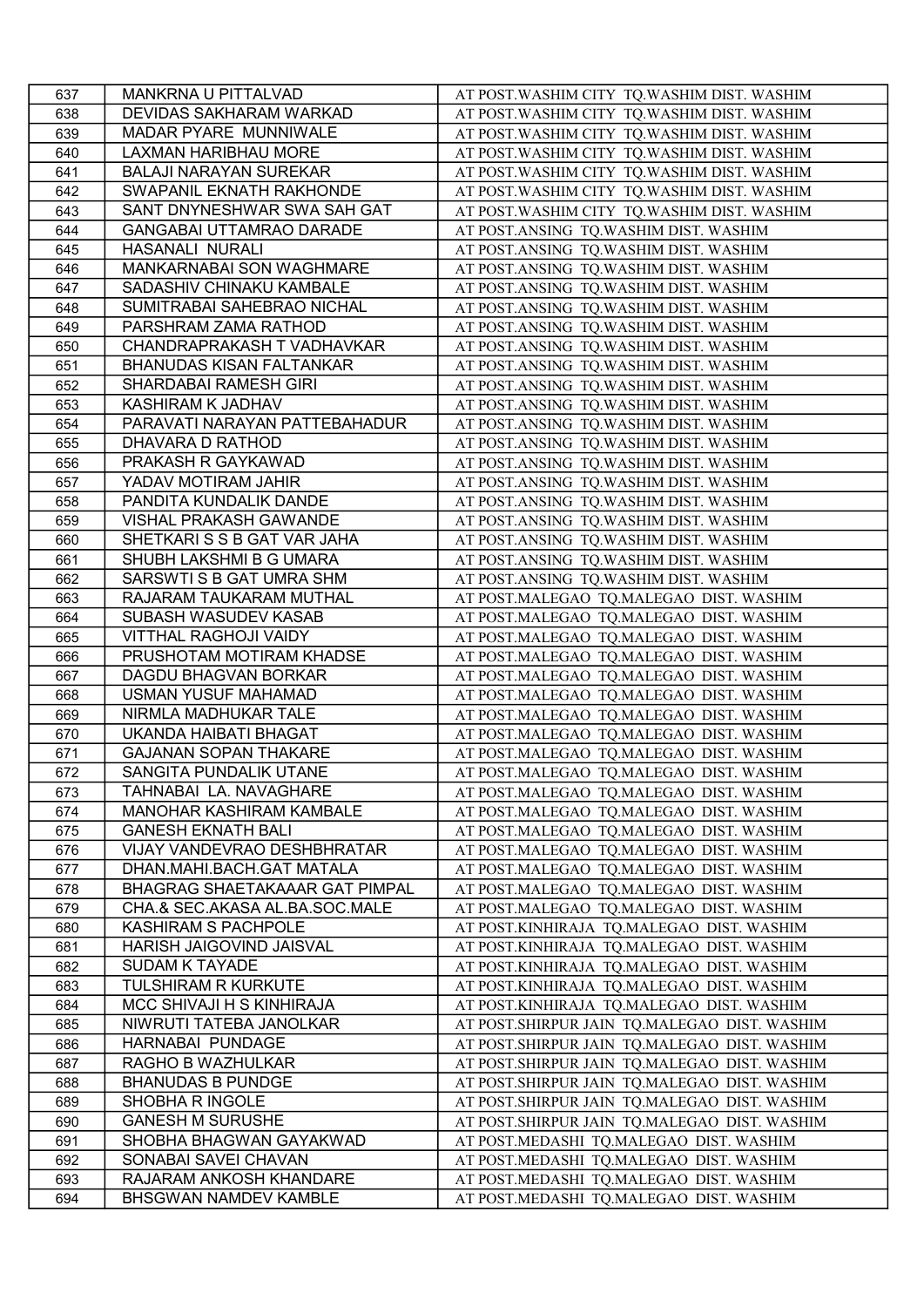| 637 | MANKRNA U PITTALVAD                                | AT POST. WASHIM CITY TQ. WASHIM DIST. WASHIM |
|-----|----------------------------------------------------|----------------------------------------------|
| 638 | DEVIDAS SAKHARAM WARKAD                            | AT POST. WASHIM CITY TQ. WASHIM DIST. WASHIM |
| 639 | MADAR PYARE MUNNIWALE                              | AT POST. WASHIM CITY TQ. WASHIM DIST. WASHIM |
| 640 | LAXMAN HARIBHAU MORE                               | AT POST. WASHIM CITY TQ. WASHIM DIST. WASHIM |
| 641 | <b>BALAJI NARAYAN SUREKAR</b>                      | AT POST. WASHIM CITY TQ. WASHIM DIST. WASHIM |
| 642 | SWAPANIL EKNATH RAKHONDE                           | AT POST. WASHIM CITY TQ. WASHIM DIST. WASHIM |
| 643 | SANT DNYNESHWAR SWA SAH GAT                        | AT POST. WASHIM CITY TQ. WASHIM DIST. WASHIM |
| 644 | <b>GANGABAI UTTAMRAO DARADE</b>                    | AT POST.ANSING TQ.WASHIM DIST. WASHIM        |
| 645 | <b>HASANALI NURALI</b>                             | AT POST.ANSING TQ.WASHIM DIST. WASHIM        |
| 646 | MANKARNABAI SON WAGHMARE                           | AT POST.ANSING TQ.WASHIM DIST. WASHIM        |
| 647 | SADASHIV CHINAKU KAMBALE                           | AT POST.ANSING TQ.WASHIM DIST. WASHIM        |
| 648 | SUMITRABAI SAHEBRAO NICHAL                         | AT POST.ANSING TQ.WASHIM DIST. WASHIM        |
| 649 | PARSHRAM ZAMA RATHOD                               | AT POST.ANSING TQ.WASHIM DIST. WASHIM        |
| 650 | CHANDRAPRAKASH T VADHAVKAR                         | AT POST.ANSING TQ.WASHIM DIST. WASHIM        |
| 651 | <b>BHANUDAS KISAN FALTANKAR</b>                    | AT POST.ANSING TQ.WASHIM DIST. WASHIM        |
| 652 | SHARDABAI RAMESH GIRI                              | AT POST.ANSING TQ.WASHIM DIST. WASHIM        |
| 653 | KASHIRAM K JADHAV                                  | AT POST.ANSING TQ.WASHIM DIST. WASHIM        |
| 654 | PARAVATI NARAYAN PATTEBAHADUR                      | AT POST.ANSING TQ.WASHIM DIST. WASHIM        |
| 655 | DHAVARA D RATHOD                                   | AT POST.ANSING TQ.WASHIM DIST. WASHIM        |
| 656 | PRAKASH R GAYKAWAD                                 | AT POST.ANSING TQ.WASHIM DIST. WASHIM        |
| 657 | YADAV MOTIRAM JAHIR                                | AT POST.ANSING TQ.WASHIM DIST. WASHIM        |
| 658 | PANDITA KUNDALIK DANDE                             | AT POST.ANSING TQ.WASHIM DIST. WASHIM        |
| 659 | <b>VISHAL PRAKASH GAWANDE</b>                      | AT POST.ANSING TQ.WASHIM DIST. WASHIM        |
| 660 | SHETKARISS B GAT VAR JAHA                          | AT POST.ANSING TQ.WASHIM DIST. WASHIM        |
| 661 | SHUBH LAKSHMI B G UMARA                            | AT POST.ANSING TQ.WASHIM DIST. WASHIM        |
| 662 | SARSWTIS B GAT UMRA SHM                            | AT POST.ANSING TQ.WASHIM DIST. WASHIM        |
| 663 | RAJARAM TAUKARAM MUTHAL                            |                                              |
| 664 | SUBASH WASUDEV KASAB                               | AT POST.MALEGAO TQ.MALEGAO DIST. WASHIM      |
|     | VITTHAL RAGHOJI VAIDY                              | AT POST.MALEGAO TQ.MALEGAO DIST. WASHIM      |
| 665 |                                                    | AT POST.MALEGAO TQ.MALEGAO DIST. WASHIM      |
| 666 | PRUSHOTAM MOTIRAM KHADSE                           | AT POST.MALEGAO TQ.MALEGAO DIST. WASHIM      |
| 667 | DAGDU BHAGVAN BORKAR<br><b>USMAN YUSUF MAHAMAD</b> | AT POST.MALEGAO TQ.MALEGAO DIST. WASHIM      |
| 668 |                                                    | AT POST.MALEGAO TQ.MALEGAO DIST. WASHIM      |
| 669 | NIRMLA MADHUKAR TALE                               | AT POST.MALEGAO TQ.MALEGAO DIST. WASHIM      |
| 670 | UKANDA HAIBATI BHAGAT                              | AT POST.MALEGAO TQ.MALEGAO DIST. WASHIM      |
| 671 | <b>GAJANAN SOPAN THAKARE</b>                       | AT POST.MALEGAO TQ.MALEGAO DIST. WASHIM      |
| 672 | SANGITA PUNDALIK UTANE                             | AT POST.MALEGAO TQ.MALEGAO DIST. WASHIM      |
| 673 | TAHNABAI LA. NAVAGHARE                             | AT POST.MALEGAO TQ.MALEGAO DIST. WASHIM      |
| 674 | MANOHAR KASHIRAM KAMBALE                           | AT POST.MALEGAO TQ.MALEGAO DIST. WASHIM      |
| 675 | <b>GANESH EKNATH BALI</b>                          | AT POST.MALEGAO TQ.MALEGAO DIST. WASHIM      |
| 676 | VIJAY VANDEVRAO DESHBHRATAR                        | AT POST.MALEGAO TQ.MALEGAO DIST. WASHIM      |
| 677 | DHAN.MAHI.BACH.GAT MATALA                          | AT POST.MALEGAO TQ.MALEGAO DIST. WASHIM      |
| 678 | BHAGRAG SHAETAKAAAR GAT PIMPAL                     | AT POST.MALEGAO TO.MALEGAO DIST. WASHIM      |
| 679 | CHA.& SEC.AKASA AL.BA.SOC.MALE                     | AT POST.MALEGAO TQ.MALEGAO DIST. WASHIM      |
| 680 | <b>KASHIRAM S PACHPOLE</b>                         | AT POST.KINHIRAJA TQ.MALEGAO DIST. WASHIM    |
| 681 | HARISH JAIGOVIND JAISVAL                           | AT POST.KINHIRAJA TQ.MALEGAO DIST. WASHIM    |
| 682 | <b>SUDAM K TAYADE</b>                              | AT POST.KINHIRAJA TQ.MALEGAO DIST. WASHIM    |
| 683 | TULSHIRAM R KURKUTE                                | AT POST.KINHIRAJA TQ.MALEGAO DIST. WASHIM    |
| 684 | MCC SHIVAJI H S KINHIRAJA                          | AT POST.KINHIRAJA TQ.MALEGAO DIST. WASHIM    |
| 685 | NIWRUTI TATEBA JANOLKAR                            | AT POST.SHIRPUR JAIN TQ.MALEGAO DIST. WASHIM |
| 686 | HARNABAI PUNDAGE                                   | AT POST.SHIRPUR JAIN TQ.MALEGAO DIST. WASHIM |
| 687 | RAGHO B WAZHULKAR                                  | AT POST.SHIRPUR JAIN TQ.MALEGAO DIST. WASHIM |
| 688 | <b>BHANUDAS B PUNDGE</b>                           | AT POST.SHIRPUR JAIN TQ.MALEGAO DIST. WASHIM |
| 689 | SHOBHA R INGOLE                                    | AT POST.SHIRPUR JAIN TQ.MALEGAO DIST. WASHIM |
| 690 | <b>GANESH M SURUSHE</b>                            | AT POST.SHIRPUR JAIN TQ.MALEGAO DIST. WASHIM |
| 691 | SHOBHA BHAGWAN GAYAKWAD                            | AT POST.MEDASHI TQ.MALEGAO DIST. WASHIM      |
| 692 | SONABAI SAVEI CHAVAN                               | AT POST.MEDASHI TQ.MALEGAO DIST. WASHIM      |
| 693 | RAJARAM ANKOSH KHANDARE                            | AT POST.MEDASHI TQ.MALEGAO DIST. WASHIM      |
| 694 | BHSGWAN NAMDEV KAMBLE                              | AT POST.MEDASHI TQ.MALEGAO DIST. WASHIM      |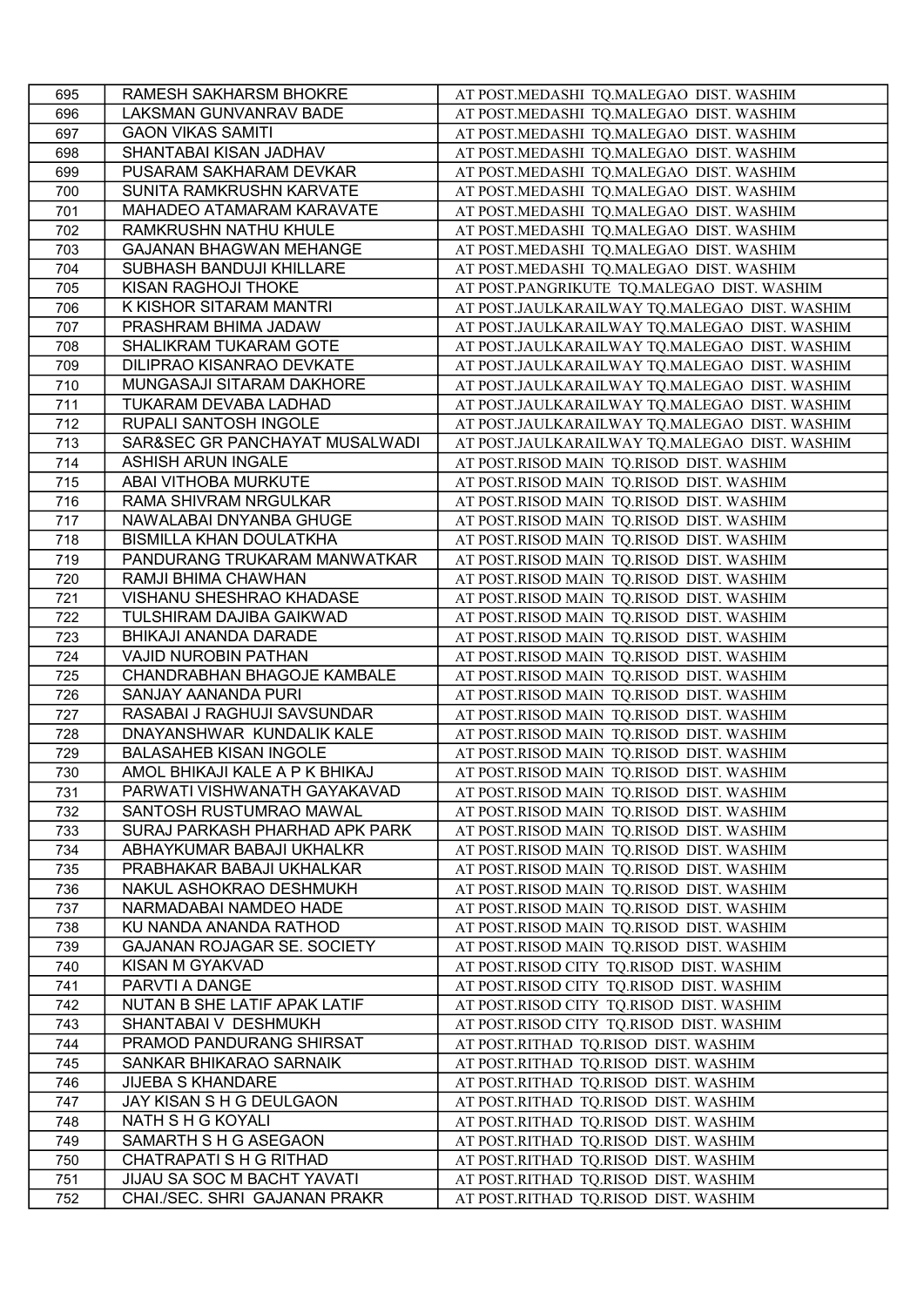| 695 | RAMESH SAKHARSM BHOKRE                            | AT POST.MEDASHI TQ.MALEGAO DIST. WASHIM       |
|-----|---------------------------------------------------|-----------------------------------------------|
| 696 | LAKSMAN GUNVANRAV BADE                            | AT POST.MEDASHI TQ.MALEGAO DIST. WASHIM       |
| 697 | <b>GAON VIKAS SAMITI</b>                          | AT POST.MEDASHI TQ.MALEGAO DIST. WASHIM       |
| 698 | SHANTABAI KISAN JADHAV                            | AT POST.MEDASHI TQ.MALEGAO DIST. WASHIM       |
| 699 | PUSARAM SAKHARAM DEVKAR                           | AT POST.MEDASHI TQ.MALEGAO DIST. WASHIM       |
| 700 | SUNITA RAMKRUSHN KARVATE                          | AT POST.MEDASHI TQ.MALEGAO DIST. WASHIM       |
| 701 | MAHADEO ATAMARAM KARAVATE                         | AT POST.MEDASHI TQ.MALEGAO DIST. WASHIM       |
| 702 | RAMKRUSHN NATHU KHULE                             | AT POST.MEDASHI TQ.MALEGAO DIST. WASHIM       |
| 703 | <b>GAJANAN BHAGWAN MEHANGE</b>                    | AT POST.MEDASHI TQ.MALEGAO DIST. WASHIM       |
| 704 | SUBHASH BANDUJI KHILLARE                          | AT POST.MEDASHI TQ.MALEGAO DIST. WASHIM       |
| 705 | KISAN RAGHOJI THOKE                               | AT POST.PANGRIKUTE TQ.MALEGAO DIST. WASHIM    |
| 706 | K KISHOR SITARAM MANTRI                           | AT POST.JAULKARAILWAY TQ.MALEGAO DIST. WASHIM |
| 707 | PRASHRAM BHIMA JADAW                              | AT POST.JAULKARAILWAY TQ.MALEGAO DIST. WASHIM |
| 708 | SHALIKRAM TUKARAM GOTE                            | AT POST.JAULKARAILWAY TQ.MALEGAO DIST. WASHIM |
| 709 | DILIPRAO KISANRAO DEVKATE                         | AT POST.JAULKARAILWAY TQ.MALEGAO DIST. WASHIM |
| 710 | MUNGASAJI SITARAM DAKHORE                         | AT POST.JAULKARAILWAY TQ.MALEGAO DIST. WASHIM |
| 711 | TUKARAM DEVABA LADHAD                             | AT POST.JAULKARAILWAY TQ.MALEGAO DIST. WASHIM |
|     | RUPALI SANTOSH INGOLE                             |                                               |
| 712 | SAR&SEC GR PANCHAYAT MUSALWADI                    | AT POST.JAULKARAILWAY TQ.MALEGAO DIST. WASHIM |
| 713 |                                                   | AT POST.JAULKARAILWAY TQ.MALEGAO DIST. WASHIM |
| 714 | <b>ASHISH ARUN INGALE</b><br>ABAI VITHOBA MURKUTE | AT POST.RISOD MAIN TQ.RISOD DIST. WASHIM      |
| 715 |                                                   | AT POST.RISOD MAIN TQ.RISOD DIST. WASHIM      |
| 716 | RAMA SHIVRAM NRGULKAR                             | AT POST.RISOD MAIN TQ.RISOD DIST. WASHIM      |
| 717 | NAWALABAI DNYANBA GHUGE                           | AT POST.RISOD MAIN TQ.RISOD DIST. WASHIM      |
| 718 | <b>BISMILLA KHAN DOULATKHA</b>                    | AT POST.RISOD MAIN TQ.RISOD DIST. WASHIM      |
| 719 | PANDURANG TRUKARAM MANWATKAR                      | AT POST.RISOD MAIN TQ.RISOD DIST. WASHIM      |
| 720 | RAMJI BHIMA CHAWHAN                               | AT POST.RISOD MAIN TQ.RISOD DIST. WASHIM      |
| 721 | VISHANU SHESHRAO KHADASE                          | AT POST.RISOD MAIN TQ.RISOD DIST. WASHIM      |
| 722 | TULSHIRAM DAJIBA GAIKWAD                          | AT POST.RISOD MAIN TQ.RISOD DIST. WASHIM      |
| 723 | BHIKAJI ANANDA DARADE                             | AT POST.RISOD MAIN TQ.RISOD DIST. WASHIM      |
| 724 | VAJID NUROBIN PATHAN                              | AT POST.RISOD MAIN TQ.RISOD DIST. WASHIM      |
| 725 | CHANDRABHAN BHAGOJE KAMBALE                       | AT POST.RISOD MAIN TQ.RISOD DIST. WASHIM      |
| 726 | SANJAY AANANDA PURI                               | AT POST.RISOD MAIN TQ.RISOD DIST. WASHIM      |
| 727 | RASABAI J RAGHUJI SAVSUNDAR                       | AT POST.RISOD MAIN TQ.RISOD DIST. WASHIM      |
| 728 | DNAYANSHWAR KUNDALIK KALE                         | AT POST.RISOD MAIN TQ.RISOD DIST. WASHIM      |
| 729 | <b>BALASAHEB KISAN INGOLE</b>                     | AT POST.RISOD MAIN TQ.RISOD DIST. WASHIM      |
| 730 | AMOL BHIKAJI KALE A P K BHIKAJ                    | AT POST.RISOD MAIN TQ.RISOD DIST. WASHIM      |
| 731 | PARWATI VISHWANATH GAYAKAVAD                      | AT POST.RISOD MAIN TQ.RISOD DIST. WASHIM      |
| 732 | SANTOSH RUSTUMRAO MAWAL                           | AT POST.RISOD MAIN TQ.RISOD DIST. WASHIM      |
| 733 | SURAJ PARKASH PHARHAD APK PARK                    | AT POST.RISOD MAIN TQ.RISOD DIST. WASHIM      |
| 734 | ABHAYKUMAR BABAJI UKHALKR                         | AT POST.RISOD MAIN TQ.RISOD DIST. WASHIM      |
| 735 | PRABHAKAR BABAJI UKHALKAR                         | AT POST.RISOD MAIN TQ.RISOD DIST. WASHIM      |
| 736 | NAKUL ASHOKRAO DESHMUKH                           | AT POST.RISOD MAIN TQ.RISOD DIST. WASHIM      |
| 737 | NARMADABAI NAMDEO HADE                            | AT POST.RISOD MAIN TQ.RISOD DIST. WASHIM      |
| 738 | KU NANDA ANANDA RATHOD                            | AT POST.RISOD MAIN TQ.RISOD DIST. WASHIM      |
| 739 | <b>GAJANAN ROJAGAR SE. SOCIETY</b>                | AT POST.RISOD MAIN TQ.RISOD DIST. WASHIM      |
| 740 | KISAN M GYAKVAD                                   | AT POST.RISOD CITY TQ.RISOD DIST. WASHIM      |
| 741 | PARVTI A DANGE                                    | AT POST.RISOD CITY TQ.RISOD DIST. WASHIM      |
| 742 | NUTAN B SHE LATIF APAK LATIF                      | AT POST.RISOD CITY TQ.RISOD DIST. WASHIM      |
| 743 | SHANTABAI V DESHMUKH                              | AT POST.RISOD CITY TQ.RISOD DIST. WASHIM      |
| 744 | PRAMOD PANDURANG SHIRSAT                          | AT POST.RITHAD TQ.RISOD DIST. WASHIM          |
| 745 | SANKAR BHIKARAO SARNAIK                           | AT POST.RITHAD TQ.RISOD DIST. WASHIM          |
| 746 | <b>JIJEBA S KHANDARE</b>                          | AT POST.RITHAD TQ.RISOD DIST. WASHIM          |
| 747 | JAY KISAN S H G DEULGAON                          | AT POST.RITHAD TQ.RISOD DIST. WASHIM          |
| 748 | NATH S H G KOYALI                                 | AT POST.RITHAD TQ.RISOD DIST. WASHIM          |
|     | SAMARTH S H G ASEGAON                             |                                               |
| 749 |                                                   | AT POST.RITHAD TQ.RISOD DIST. WASHIM          |
| 750 | CHATRAPATI S H G RITHAD                           | AT POST.RITHAD TQ.RISOD DIST. WASHIM          |
| 751 | JIJAU SA SOC M BACHT YAVATI                       | AT POST.RITHAD TQ.RISOD DIST. WASHIM          |
| 752 | CHAI./SEC. SHRI GAJANAN PRAKR                     | AT POST.RITHAD TQ.RISOD DIST. WASHIM          |